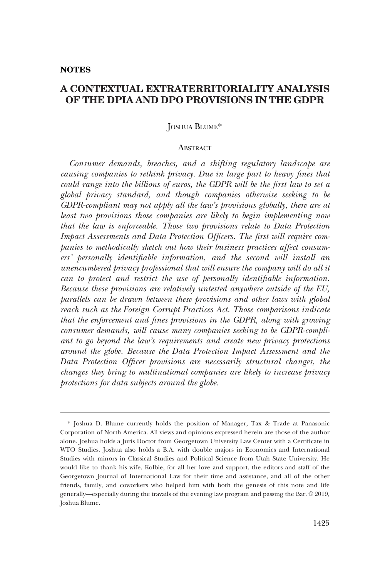#### **NOTES**

# **A CONTEXTUAL EXTRATERRITORIALITY ANALYSIS OF THE DPIA AND DPO PROVISIONS IN THE GDPR**

### JOSHUA BLUME\*

#### **ABSTRACT**

*Consumer demands, breaches, and a shifting regulatory landscape are causing companies to rethink privacy. Due in large part to heavy fines that could range into the billions of euros, the GDPR will be the first law to set a global privacy standard, and though companies otherwise seeking to be GDPR-compliant may not apply all the law's provisions globally, there are at least two provisions those companies are likely to begin implementing now that the law is enforceable. Those two provisions relate to Data Protection Impact Assessments and Data Protection Officers. The first will require companies to methodically sketch out how their business practices affect consumers' personally identifiable information, and the second will install an unencumbered privacy professional that will ensure the company will do all it can to protect and restrict the use of personally identifiable information. Because these provisions are relatively untested anywhere outside of the EU, parallels can be drawn between these provisions and other laws with global reach such as the Foreign Corrupt Practices Act. Those comparisons indicate that the enforcement and fines provisions in the GDPR, along with growing consumer demands, will cause many companies seeking to be GDPR-compliant to go beyond the law's requirements and create new privacy protections around the globe. Because the Data Protection Impact Assessment and the Data Protection Officer provisions are necessarily structural changes, the changes they bring to multinational companies are likely to increase privacy protections for data subjects around the globe.* 

<sup>\*</sup> Joshua D. Blume currently holds the position of Manager, Tax & Trade at Panasonic Corporation of North America. All views and opinions expressed herein are those of the author alone. Joshua holds a Juris Doctor from Georgetown University Law Center with a Certificate in WTO Studies. Joshua also holds a B.A. with double majors in Economics and International Studies with minors in Classical Studies and Political Science from Utah State University. He would like to thank his wife, Kolbie, for all her love and support, the editors and staff of the Georgetown Journal of International Law for their time and assistance, and all of the other friends, family, and coworkers who helped him with both the genesis of this note and life generally—especially during the travails of the evening law program and passing the Bar. © 2019, Joshua Blume.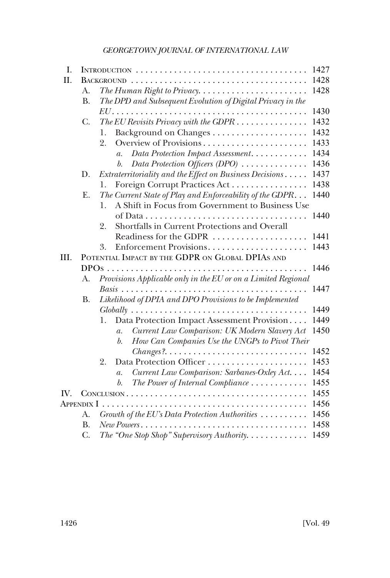| I.         |                                                  |                                                                                                        | 1427 |
|------------|--------------------------------------------------|--------------------------------------------------------------------------------------------------------|------|
| Η.         |                                                  | <b>BACKGROUND</b>                                                                                      | 1428 |
|            | А.                                               |                                                                                                        | 1428 |
|            | <b>B.</b>                                        | The DPD and Subsequent Evolution of Digital Privacy in the                                             |      |
|            |                                                  |                                                                                                        | 1430 |
|            | C.                                               | The EU Revisits Privacy with the GDPR $\ldots \ldots \ldots \ldots$                                    | 1432 |
|            |                                                  | 1.                                                                                                     | 1432 |
|            |                                                  | 2.                                                                                                     | 1433 |
|            |                                                  | Data Protection Impact Assessment<br>$\overline{a}$ .                                                  | 1434 |
|            |                                                  | Data Protection Officers (DPO)<br>$\mathfrak{b}.$                                                      | 1436 |
|            | D.                                               | Extraterritoriality and the Effect on Business Decisions                                               | 1437 |
|            |                                                  | Foreign Corrupt Practices Act<br>1.                                                                    | 1438 |
|            | E.                                               | The Current State of Play and Enforceability of the GDPR                                               | 1440 |
|            |                                                  | A Shift in Focus from Government to Business Use<br>1.                                                 |      |
|            |                                                  |                                                                                                        | 1440 |
|            |                                                  | Shortfalls in Current Protections and Overall<br>2.                                                    |      |
|            |                                                  | Readiness for the GDPR                                                                                 | 1441 |
|            |                                                  | Enforcement Provisions<br>3.                                                                           | 1443 |
| III.       | POTENTIAL IMPACT BY THE GDPR ON GLOBAL DPIAS AND |                                                                                                        |      |
|            | <b>DPOs</b>                                      |                                                                                                        | 1446 |
|            | A.                                               | Provisions Applicable only in the EU or on a Limited Regional                                          |      |
|            |                                                  |                                                                                                        | 1447 |
|            | <b>B.</b>                                        | Likelihood of DPIA and DPO Provisions to be Implemented                                                |      |
|            |                                                  |                                                                                                        | 1449 |
|            |                                                  | Data Protection Impact Assessment Provision<br>1.                                                      | 1449 |
|            |                                                  | Current Law Comparison: UK Modern Slavery Act<br>$\mathfrak{a}.$                                       | 1450 |
|            |                                                  | How Can Companies Use the UNGPs to Pivot Their<br>$\mathfrak{b}.$                                      |      |
|            |                                                  |                                                                                                        | 1452 |
|            |                                                  | 2.                                                                                                     | 1453 |
|            |                                                  | Current Law Comparison: Sarbanes-Oxley Act<br>$\mathfrak{a}.$                                          | 1454 |
|            |                                                  | The Power of Internal Compliance<br>$\mathfrak{b}.$                                                    | 1455 |
| IV.        |                                                  |                                                                                                        | 1455 |
| Appendix I |                                                  |                                                                                                        | 1456 |
|            | А.                                               | Growth of the EU's Data Protection Authorities                                                         | 1456 |
|            | <b>B.</b>                                        | $New Powers \dots \dots \dots \dots \dots \dots \dots \dots \dots \dots \dots \dots \dots \dots \dots$ | 1458 |
|            | C.                                               | The "One Stop Shop" Supervisory Authority. $\ldots \ldots \ldots \ldots$                               | 1459 |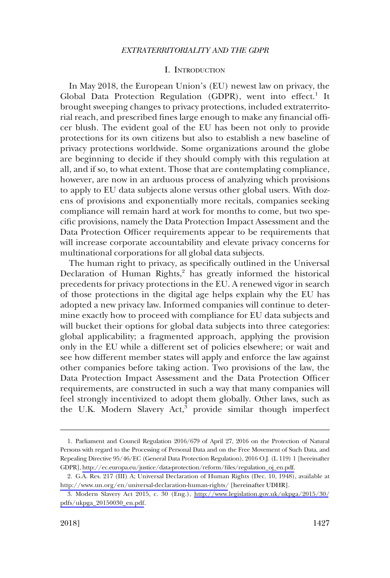### I. INTRODUCTION

<span id="page-2-0"></span>In May 2018, the European Union's (EU) newest law on privacy, the Global Data Protection Regulation (GDPR), went into effect.<sup>1</sup> It brought sweeping changes to privacy protections, included extraterritorial reach, and prescribed fines large enough to make any financial officer blush. The evident goal of the EU has been not only to provide protections for its own citizens but also to establish a new baseline of privacy protections worldwide. Some organizations around the globe are beginning to decide if they should comply with this regulation at all, and if so, to what extent. Those that are contemplating compliance, however, are now in an arduous process of analyzing which provisions to apply to EU data subjects alone versus other global users. With dozens of provisions and exponentially more recitals, companies seeking compliance will remain hard at work for months to come, but two specific provisions, namely the Data Protection Impact Assessment and the Data Protection Officer requirements appear to be requirements that will increase corporate accountability and elevate privacy concerns for multinational corporations for all global data subjects.

The human right to privacy, as specifically outlined in the Universal Declaration of Human Rights,<sup>2</sup> has greatly informed the historical precedents for privacy protections in the EU. A renewed vigor in search of those protections in the digital age helps explain why the EU has adopted a new privacy law. Informed companies will continue to determine exactly how to proceed with compliance for EU data subjects and will bucket their options for global data subjects into three categories: global applicability; a fragmented approach, applying the provision only in the EU while a different set of policies elsewhere; or wait and see how different member states will apply and enforce the law against other companies before taking action. Two provisions of the law, the Data Protection Impact Assessment and the Data Protection Officer requirements, are constructed in such a way that many companies will feel strongly incentivized to adopt them globally. Other laws, such as the U.K. Modern Slavery Act, $\bar{3}$  provide similar though imperfect

<sup>1.</sup> Parliament and Council Regulation 2016/679 of April 27, 2016 on the Protection of Natural Persons with regard to the Processing of Personal Data and on the Free Movement of Such Data, and Repealing Directive 95/46/EC (General Data Protection Regulation), 2016 O.J. (L 119) 1 [hereinafter GDPR], [http://ec.europa.eu/justice/data-protection/reform/files/regulation\\_oj\\_en.pdf.](http://ec.europa.eu/justice/data-protection/reform/files/regulation_oj_en.pdf)

<sup>2.</sup> G.A. Res. 217 (III) A; Universal Declaration of Human Rights (Dec. 10, 1948), available at <http://www.un.org/en/universal-declaration-human-rights/> [hereinafter UDHR].

<sup>3.</sup> Modern Slavery Act 2015, c. 30 (Eng.), [http://www.legislation.gov.uk/ukpga/2015/30/](http://www.legislation.gov.uk/ukpga/2015/30/pdfs/ukpga_20150030_en.pdf) [pdfs/ukpga\\_20150030\\_en.pdf.](http://www.legislation.gov.uk/ukpga/2015/30/pdfs/ukpga_20150030_en.pdf)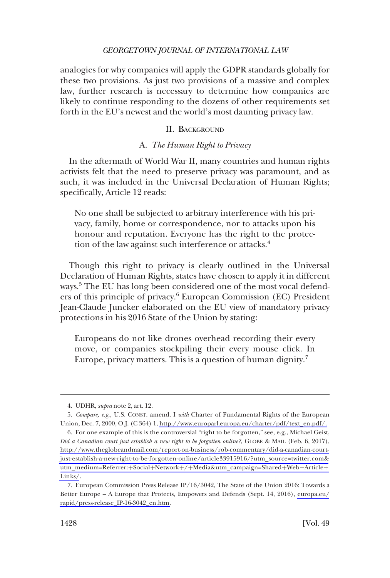<span id="page-3-0"></span>analogies for why companies will apply the GDPR standards globally for these two provisions. As just two provisions of a massive and complex law, further research is necessary to determine how companies are likely to continue responding to the dozens of other requirements set forth in the EU's newest and the world's most daunting privacy law.

### II. BACKGROUND

### A. *The Human Right to Privacy*

In the aftermath of World War II, many countries and human rights activists felt that the need to preserve privacy was paramount, and as such, it was included in the Universal Declaration of Human Rights; specifically, Article 12 reads:

No one shall be subjected to arbitrary interference with his privacy, family, home or correspondence, nor to attacks upon his honour and reputation. Everyone has the right to the protection of the law against such interference or attacks.<sup>4</sup>

Though this right to privacy is clearly outlined in the Universal Declaration of Human Rights, states have chosen to apply it in different ways.<sup>5</sup> The EU has long been considered one of the most vocal defenders of this principle of privacy.<sup>6</sup> European Commission (EC) President Jean-Claude Juncker elaborated on the EU view of mandatory privacy protections in his 2016 State of the Union by stating:

Europeans do not like drones overhead recording their every move, or companies stockpiling their every mouse click. In Europe, privacy matters. This is a question of human dignity.<sup>7</sup>

<sup>4.</sup> UDHR, *supra* note 2, art. 12.

*Compare, e.g*., U.S. CONST. amend. I *with* Charter of Fundamental Rights of the European 5. Union, Dec. 7, 2000, O.J. (C 364) 1, [http://www.europarl.europa.eu/charter/pdf/text\\_en.pdf/.](http://www.europarl.europa.eu/charter/pdf/text_en.pdf/)

<sup>6.</sup> For one example of this is the controversial "right to be forgotten," see, e.g., Michael Geist, *Did a Canadian court just establish a new right to be forgotten online?*, GLOBE & MAIL (Feb. 6, 2017), [http://www.theglobeandmail.com/report-on-business/rob-commentary/did-a-canadian-court](http://www.theglobeandmail.com/report-on-business/rob-commentary/did-a-canadian-court-just-establish-a-new-right-to-be-forgotten-online/article33915916/?utm_source=twitter.com&utm_medium=Referrer:+Social+Network+/+Media&utm_campaign=Shared+Web+Article+Links/)[just-establish-a-new-right-to-be-forgotten-online/article33915916/?utm\\_source=twitter.com&](http://www.theglobeandmail.com/report-on-business/rob-commentary/did-a-canadian-court-just-establish-a-new-right-to-be-forgotten-online/article33915916/?utm_source=twitter.com&utm_medium=Referrer:+Social+Network+/+Media&utm_campaign=Shared+Web+Article+Links/) utm\_medium=Referrer:+Social+Network+/+[Media&utm\\_campaign=Shared](http://www.theglobeandmail.com/report-on-business/rob-commentary/did-a-canadian-court-just-establish-a-new-right-to-be-forgotten-online/article33915916/?utm_source=twitter.com&utm_medium=Referrer:+Social+Network+/+Media&utm_campaign=Shared+Web+Article+Links/)+Web+Article+ [Links/](http://www.theglobeandmail.com/report-on-business/rob-commentary/did-a-canadian-court-just-establish-a-new-right-to-be-forgotten-online/article33915916/?utm_source=twitter.com&utm_medium=Referrer:+Social+Network+/+Media&utm_campaign=Shared+Web+Article+Links/).

<sup>7.</sup> European Commission Press Release IP $/16/3042$ , The State of the Union 2016: Towards a Better Europe – A Europe that Protects, Empowers and Defends (Sept. 14, 2016), [europa.eu/](http://europa.eu/rapid/press-release_IP-16-3042_en.htm) [rapid/press-release\\_IP-16-3042\\_en.htm.](http://europa.eu/rapid/press-release_IP-16-3042_en.htm)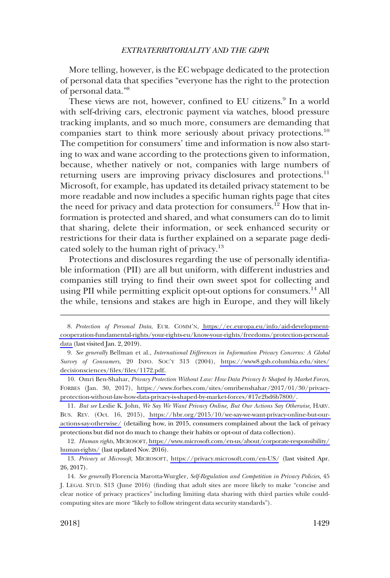More telling, however, is the EC webpage dedicated to the protection of personal data that specifies "everyone has the right to the protection of personal data."8

These views are not, however, confined to EU citizens.<sup>9</sup> In a world with self-driving cars, electronic payment via watches, blood pressure tracking implants, and so much more, consumers are demanding that companies start to think more seriously about privacy protections.<sup>10</sup> The competition for consumers' time and information is now also starting to wax and wane according to the protections given to information, because, whether natively or not, companies with large numbers of returning users are improving privacy disclosures and protections.<sup>11</sup> Microsoft, for example, has updated its detailed privacy statement to be more readable and now includes a specific human rights page that cites the need for privacy and data protection for consumers.<sup>12</sup> How that information is protected and shared, and what consumers can do to limit that sharing, delete their information, or seek enhanced security or restrictions for their data is further explained on a separate page dedicated solely to the human right of privacy.<sup>13</sup>

Protections and disclosures regarding the use of personally identifiable information (PII) are all but uniform, with different industries and companies still trying to find their own sweet spot for collecting and using PII while permitting explicit opt-out options for consumers.<sup>14</sup> All the while, tensions and stakes are high in Europe, and they will likely

*But see* Leslie K. John, *We Say We Want Privacy Online, But Our Actions Say Otherwise*, HARV. 11. BUS. REV. (Oct. 16, 2015), [https://hbr.org/2015/10/we-say-we-want-privacy-online-but-our](https://hbr.org/2015/10/we-say-we-want-privacy-online-but-our-actions-say-otherwise/)[actions-say-otherwise/](https://hbr.org/2015/10/we-say-we-want-privacy-online-but-our-actions-say-otherwise/) (detailing how, in 2015, consumers complained about the lack of privacy protections but did not do much to change their habits or opt-out of data collection).

*Human rights*, MICROSOFT, [https://www.microsoft.com/en-us/about/corporate-responsibility/](https://www.microsoft.com/en-us/about/corporate-responsibility/human-rights/)  12. [human-rights/](https://www.microsoft.com/en-us/about/corporate-responsibility/human-rights/) (last updated Nov. 2016).

13. Privacy at Microsoft, MICROSOFT, <https://privacy.microsoft.com/en-US/> (last visited Apr. 26, 2017).

*Protection of Personal Data*, EUR. COMM'N, [https://ec.europa.eu/info/aid-development-](https://ec.europa.eu/info/aid-development-cooperation-fundamental-rights/your-rights-eu/know-your-rights/freedoms/protection-personal-data)8. [cooperation-fundamental-rights/your-rights-eu/know-your-rights/freedoms/protection-personal](https://ec.europa.eu/info/aid-development-cooperation-fundamental-rights/your-rights-eu/know-your-rights/freedoms/protection-personal-data)[data](https://ec.europa.eu/info/aid-development-cooperation-fundamental-rights/your-rights-eu/know-your-rights/freedoms/protection-personal-data) (last visited Jan. 2, 2019).

*See generally* Bellman et al., *International Differences in Information Privacy Concerns: A Global*  9. *Survey of Consumers*, 20 INFO. SOC'Y 313 (2004), [https://www8.gsb.columbia.edu/sites/](https://www8.gsb.columbia.edu/sites/decisionsciences/files/files/1172.pdf) [decisionsciences/files/files/1172.pdf.](https://www8.gsb.columbia.edu/sites/decisionsciences/files/files/1172.pdf)

<sup>10.</sup> Omri Ben-Shahar, *Privacy Protection Without Law: How Data Privacy Is Shaped by Market Forces*, FORBES (Jan. 30, 2017), [https://www.forbes.com/sites/omribenshahar/2017/01/30/privacy](https://www.forbes.com/sites/omribenshahar/2017/01/30/privacy-protection-without-law-how-data-privacy-is-shaped-by-market-forces/#17e2bd6b7800/)[protection-without-law-how-data-privacy-is-shaped-by-market-forces/#17e2bd6b7800/](https://www.forbes.com/sites/omribenshahar/2017/01/30/privacy-protection-without-law-how-data-privacy-is-shaped-by-market-forces/#17e2bd6b7800/).

<sup>14.</sup> *See generally* Florencia Marotta-Wurgler, *Self-Regulation and Competition in Privacy Policies*, 45 J. LEGAL STUD. S13 (June 2016) (finding that adult sites are more likely to make "concise and clear notice of privacy practices" including limiting data sharing with third parties while couldcomputing sites are more "likely to follow stringent data security standards").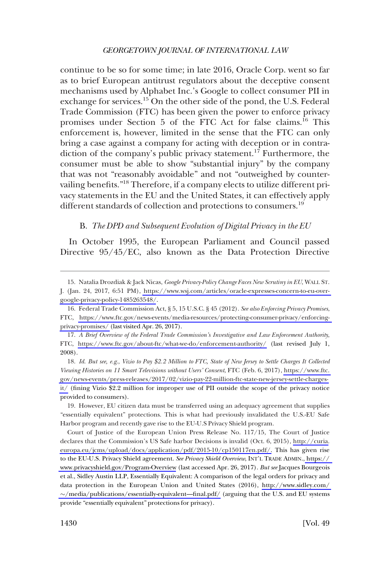<span id="page-5-0"></span>continue to be so for some time; in late 2016, Oracle Corp. went so far as to brief European antitrust regulators about the deceptive consent mechanisms used by Alphabet Inc.'s Google to collect consumer PII in exchange for services.<sup>15</sup> On the other side of the pond, the U.S. Federal Trade Commission (FTC) has been given the power to enforce privacy promises under Section 5 of the FTC Act for false claims.<sup>16</sup> This enforcement is, however, limited in the sense that the FTC can only bring a case against a company for acting with deception or in contradiction of the company's public privacy statement.<sup>17</sup> Furthermore, the consumer must be able to show "substantial injury" by the company that was not "reasonably avoidable" and not "outweighed by countervailing benefits."<sup>18</sup> Therefore, if a company elects to utilize different privacy statements in the EU and the United States, it can effectively apply different standards of collection and protections to consumers.<sup>19</sup>

### B. *The DPD and Subsequent Evolution of Digital Privacy in the EU*

In October 1995, the European Parliament and Council passed Directive 95/45/EC, also known as the Data Protection Directive

*Id*. *But see, e.g*., *Vizio to Pay \$2.2 Million to FTC, State of New Jersey to Settle Charges It Collected*  18. *Viewing Histories on 11 Smart Televisions without Users' Consent*, FTC (Feb. 6, 2017), [https://www.ftc.](https://www.ftc.gov/news-events/press-releases/2017/02/vizio-pay-22-million-ftc-state-new-jersey-settle-charges-it/)  [gov/news-events/press-releases/2017/02/vizio-pay-22-million-ftc-state-new-jersey-settle-charges](https://www.ftc.gov/news-events/press-releases/2017/02/vizio-pay-22-million-ftc-state-new-jersey-settle-charges-it/)[it/](https://www.ftc.gov/news-events/press-releases/2017/02/vizio-pay-22-million-ftc-state-new-jersey-settle-charges-it/) (fining Vizio \$2.2 million for improper use of PII outside the scope of the privacy notice provided to consumers).

19. However, EU citizen data must be transferred using an adequacy agreement that supplies "essentially equivalent" protections. This is what had previously invalidated the U.S.-EU Safe Harbor program and recently gave rise to the EU-U.S Privacy Shield program.

Court of Justice of the European Union Press Release No. 117/15, The Court of Justice declares that the Commission's US Safe harbor Decisions is invalid (Oct. 6, 2015), [http://curia.](http://curia.europa.eu/jcms/upload/docs/application/pdf/2015-10/cp150117en.pdf) [europa.eu/jcms/upload/docs/application/pdf/2015-10/cp150117en.pdf/.](http://curia.europa.eu/jcms/upload/docs/application/pdf/2015-10/cp150117en.pdf) This has given rise to the EU-U.S. Privacy Shield agreement. *See Privacy Shield Overview*, INT'L TRADE ADMIN.[, https://](https://www.privacyshield.gov/Program-Overview)  [www.privacyshield.gov/Program-Overview](https://www.privacyshield.gov/Program-Overview) (last accessed Apr. 26, 2017). *But see* Jacques Bourgeois et al., Sidley Austin LLP, Essentially Equivalent: A comparison of the legal orders for privacy and data protection in the European Union and United States (2016), [http://www.sidley.com/](http://www.sidley.com/%7E/media/publications/essentially-equivalent%E2%80%94final.pdf/)   $\sim$ [/media/publications/essentially-equivalent—final.pdf/](http://www.sidley.com/%7E/media/publications/essentially-equivalent%E2%80%94final.pdf/) (arguing that the U.S. and EU systems provide "essentially equivalent" protections for privacy).

<sup>15.</sup> Natalia Drozdiak & Jack Nicas, *Google Privacy-Policy Change Faces New Scrutiny in EU*, WALL ST.

J. (Jan. 24, 2017, 6:51 PM), [https://www.wsj.com/articles/oracle-expresses-concern-to-eu-over](https://www.wsj.com/articles/oracle-expresses-concern-to-eu-over-google-privacy-policy-1485263548/)[google-privacy-policy-1485263548/](https://www.wsj.com/articles/oracle-expresses-concern-to-eu-over-google-privacy-policy-1485263548/).

Federal Trade Commission Act, § 5, 15 U.S.C. § 45 (2012). *See also Enforcing Privacy Promises*, 16. FTC, [https://www.ftc.gov/news-events/media-resources/protecting-consumer-privacy/enforcing](https://www.ftc.gov/news-events/media-resources/protecting-consumer-privacy/enforcing-privacy-promises/)[privacy-promises/](https://www.ftc.gov/news-events/media-resources/protecting-consumer-privacy/enforcing-privacy-promises/) (last visited Apr. 26, 2017).

*A Brief Overview of the Federal Trade Commission's Investigative and Law Enforcement Authority*, 17. FTC, <https://www.ftc.gov/about-ftc/what-we-do/enforcement-authority/>(last revised July 1, 2008).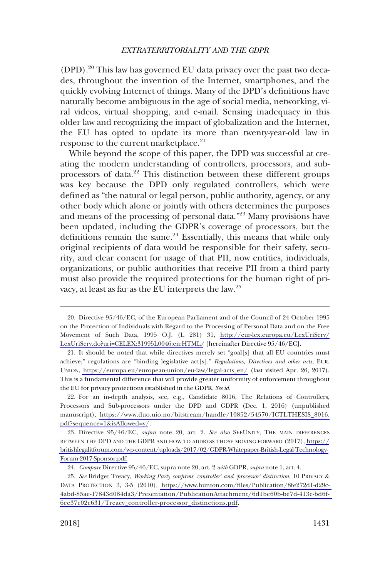(DPD).<sup>20</sup> This law has governed EU data privacy over the past two decades, throughout the invention of the Internet, smartphones, and the quickly evolving Internet of things. Many of the DPD's definitions have naturally become ambiguous in the age of social media, networking, viral videos, virtual shopping, and e-mail. Sensing inadequacy in this older law and recognizing the impact of globalization and the Internet, the EU has opted to update its more than twenty-year-old law in response to the current marketplace.<sup>21</sup>

While beyond the scope of this paper, the DPD was successful at creating the modern understanding of controllers, processors, and subprocessors of data.<sup>22</sup> This distinction between these different groups was key because the DPD only regulated controllers, which were defined as "the natural or legal person, public authority, agency, or any other body which alone or jointly with others determines the purposes and means of the processing of personal data."<sup>23</sup> Many provisions have been updated, including the GDPR's coverage of processors, but the definitions remain the same.<sup>24</sup> Essentially, this means that while only original recipients of data would be responsible for their safety, security, and clear consent for usage of that PII, now entities, individuals, organizations, or public authorities that receive PII from a third party must also provide the required protections for the human right of privacy, at least as far as the EU interprets the law.25

<sup>20.</sup> Directive  $95/46/EC$ , of the European Parliament and of the Council of 24 October 1995 on the Protection of Individuals with Regard to the Processing of Personal Data and on the Free Movement of Such Data, 1995 O.J. (L 281) 31, [http://eur-lex.europa.eu/LexUriServ/](http://eur-lex.europa.eu/LexUriServ/LexUriServ.do?uri=CELEX:31995L0046:en:HTML) [LexUriServ.do?uri=CELEX:31995L0046:en:HTML/](http://eur-lex.europa.eu/LexUriServ/LexUriServ.do?uri=CELEX:31995L0046:en:HTML) [hereinafter Directive 95/46/EC].

<sup>21.</sup> It should be noted that while directives merely set "goal[s] that all EU countries must achieve," regulations are "binding legislative act[s]." *Regulations, Directives and other acts*, EUR. UNION, [https://europa.eu/european-union/eu-law/legal-acts\\_en/](https://europa.eu/european-union/eu-law/legal-acts_en/) (last visited Apr. 26, 2017). This is a fundamental difference that will provide greater uniformity of enforcement throughout the EU for privacy protections established in the GDPR. *See id*.

<sup>22.</sup> For an in-depth analysis, see, e.g., Candidate 8016, The Relations of Controllers, Processors and Sub-processors under the DPD and GDPR (Dec. 1, 2016) (unpublished manuscript), [https://www.duo.uio.no/bitstream/handle/10852/54570/ICTLTHESIS\\_8016.](https://www.duo.uio.no/bitstream/handle/10852/54570/ICTLTHESIS_8016.pdf?sequence=1&isAllowed=y/) [pdf?sequence=1&isAllowed=y/](https://www.duo.uio.no/bitstream/handle/10852/54570/ICTLTHESIS_8016.pdf?sequence=1&isAllowed=y/).

<sup>23.</sup> Directive  $95/46/EC$ , *supra* note 20, art. 2. *See also* SEEUNITY, THE MAIN DIFFERENCES BETWEEN THE DPD AND THE GDPR AND HOW TO ADDRESS THOSE MOVING FORWARD (2017), [https://](https://britishlegalitforum.com/wp-content/uploads/2017/02/GDPR-Whitepaper-British-Legal-Technology-Forum-2017-Sponsor.pdf) [britishlegalitforum.com/wp-content/uploads/2017/02/GDPR-Whitepaper-British-Legal-Technology-](https://britishlegalitforum.com/wp-content/uploads/2017/02/GDPR-Whitepaper-British-Legal-Technology-Forum-2017-Sponsor.pdf)[Forum-2017-Sponsor.pdf.](https://britishlegalitforum.com/wp-content/uploads/2017/02/GDPR-Whitepaper-British-Legal-Technology-Forum-2017-Sponsor.pdf)

<sup>24.</sup> *Compare* Directive 95/46/EC, supra note 20, art. 2 *with* GDPR, *supra* note 1, art. 4.

*See* Bridget Treacy, *Working Party confirms 'controller' and 'processor' distinction*, 10 PRIVACY & 25. DATA PROTECTION 3, 3-5 (2010), [https://www.hunton.com/files/Publication/8fe272d1-d29c-](https://www.hunton.com/files/Publication/8fe272d1-d29c-4abd-85ae-17843d084da3/Presentation/PublicationAttachment/6d1be60b-be7d-413c-bd6f-6ee37c02c631/Treacy_controller-processor_distinctions.pdf)[4abd-85ae-17843d084da3/Presentation/PublicationAttachment/6d1be60b-be7d-413c-bd6f-](https://www.hunton.com/files/Publication/8fe272d1-d29c-4abd-85ae-17843d084da3/Presentation/PublicationAttachment/6d1be60b-be7d-413c-bd6f-6ee37c02c631/Treacy_controller-processor_distinctions.pdf)[6ee37c02c631/Treacy\\_controller-processor\\_distinctions.pdf](https://www.hunton.com/files/Publication/8fe272d1-d29c-4abd-85ae-17843d084da3/Presentation/PublicationAttachment/6d1be60b-be7d-413c-bd6f-6ee37c02c631/Treacy_controller-processor_distinctions.pdf).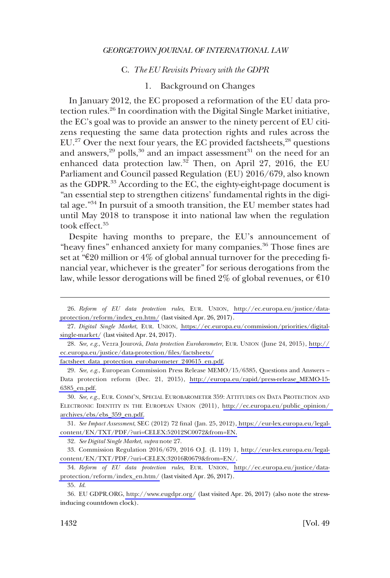#### C. *The EU Revisits Privacy with the GDPR*

## 1. Background on Changes

<span id="page-7-0"></span>In January 2012, the EC proposed a reformation of the EU data protection rules.<sup>26</sup> In coordination with the Digital Single Market initiative, the EC's goal was to provide an answer to the ninety percent of EU citizens requesting the same data protection rights and rules across the  $EU<sup>27</sup>$  Over the next four years, the EC provided factsheets, $^{28}$  questions and answers, $^{29}$  polls, $^{30}$  and an impact assessment $^{31}$  on the need for an enhanced data protection law.<sup>32</sup> Then, on April 27, 2016, the EU Parliament and Council passed Regulation (EU) 2016/679, also known as the GDPR. $^{33}$  According to the EC, the eighty-eight-page document is "an essential step to strengthen citizens' fundamental rights in the digital age."34 In pursuit of a smooth transition, the EU member states had until May 2018 to transpose it into national law when the regulation took effect.35

Despite having months to prepare, the EU's announcement of "heavy fines" enhanced anxiety for many companies.<sup>36</sup> Those fines are set at " $\epsilon$ 20 million or 4% of global annual turnover for the preceding financial year, whichever is the greater" for serious derogations from the law, while lessor derogations will be fined 2% of global revenues, or  $\epsilon 10$ 

*See, e.g*., Ve±ra Jourova´, *Data protection Eurobarometer*, EUR. UNION (June 24, 2015), [http://](http://ec.europa.eu/justice/data-protection/files/factsheets/factsheet_data_protection_eurobarometer_240615_en.pdf) 28. [ec.europa.eu/justice/data-protection/files/factsheets/](http://ec.europa.eu/justice/data-protection/files/factsheets/factsheet_data_protection_eurobarometer_240615_en.pdf) 

[factsheet\\_data\\_protection\\_eurobarometer\\_240615\\_en.pdf.](http://ec.europa.eu/justice/data-protection/files/factsheets/factsheet_data_protection_eurobarometer_240615_en.pdf)

29. See, e.g., European Commission Press Release MEMO/15/6385, Questions and Answers – Data protection reform (Dec. 21, 2015), [http://europa.eu/rapid/press-release\\_MEMO-15-](http://europa.eu/rapid/press-release_MEMO-15-6385_en.pdf)  [6385\\_en.pdf.](http://europa.eu/rapid/press-release_MEMO-15-6385_en.pdf)

*See, e.g*., EUR. COMM'N, SPECIAL EUROBAROMETER 359: ATTITUDES ON DATA PROTECTION AND 30. ELECTRONIC IDENTITY IN THE EUROPEAN UNION (2011), [http://ec.europa.eu/public\\_opinion/](http://ec.europa.eu/public_opinion/archives/ebs/ebs_359_en.pdf)  [archives/ebs/ebs\\_359\\_en.pdf.](http://ec.europa.eu/public_opinion/archives/ebs/ebs_359_en.pdf)

*See Impact Assessment*, SEC (2012) 72 final (Jan. 25, 2012), [https://eur-lex.europa.eu/legal-](https://eur-lex.europa.eu/legal-content/EN/TXT/PDF/?uri=CELEX:52012SC0072&from=EN)31. [content/EN/TXT/PDF/?uri=CELEX:52012SC0072&from=EN.](https://eur-lex.europa.eu/legal-content/EN/TXT/PDF/?uri=CELEX:52012SC0072&from=EN)

32. *See Digital Single Market*, *supra* note 27.

33. Commission Regulation 2016/679, 2016 O.J. (L 119) 1, [http://eur-lex.europa.eu/legal](http://eur-lex.europa.eu/legal-content/EN/TXT/PDF/?uri=CELEX:32016R0679&from=EN/)[content/EN/TXT/PDF/?uri=CELEX:32016R0679&from=EN/](http://eur-lex.europa.eu/legal-content/EN/TXT/PDF/?uri=CELEX:32016R0679&from=EN/).

*Reform of EU data protection rules*, EUR. UNION, [http://ec.europa.eu/justice/data-](http://ec.europa.eu/justice/data-protection/reform/index_en.htm/)34. [protection/reform/index\\_en.htm/](http://ec.europa.eu/justice/data-protection/reform/index_en.htm/) (last visited Apr. 26, 2017).

35. *Id*.

EU GDPR.ORG,<http://www.eugdpr.org/> (last visited Apr. 26, 2017) (also note the stress-36. inducing countdown clock).

*Reform of EU data protection rules*, EUR. UNION, [http://ec.europa.eu/justice/data-](http://ec.europa.eu/justice/data-protection/reform/index_en.htm/)26. [protection/reform/index\\_en.htm/](http://ec.europa.eu/justice/data-protection/reform/index_en.htm/) (last visited Apr. 26, 2017).

*Digital Single Market*, EUR. UNION, [https://ec.europa.eu/commission/priorities/digital-](https://ec.europa.eu/commission/priorities/digital-single-market/)27. [single-market/](https://ec.europa.eu/commission/priorities/digital-single-market/) (last visited Apr. 24, 2017).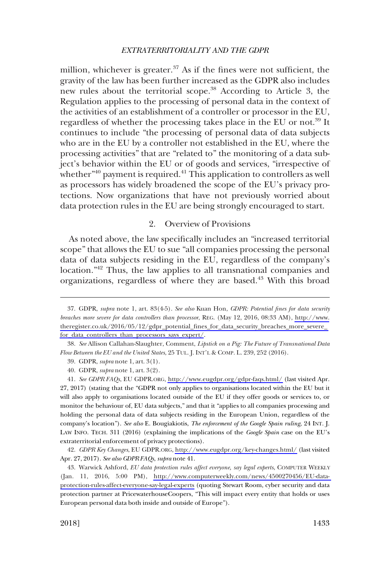<span id="page-8-0"></span>million, whichever is greater. $37$  As if the fines were not sufficient, the gravity of the law has been further increased as the GDPR also includes new rules about the territorial scope.38 According to Article 3, the Regulation applies to the processing of personal data in the context of the activities of an establishment of a controller or processor in the EU, regardless of whether the processing takes place in the EU or not.39 It continues to include "the processing of personal data of data subjects who are in the EU by a controller not established in the EU, where the processing activities" that are "related to" the monitoring of a data subject's behavior within the EU or of goods and services, "irrespective of whether<sup>"40</sup> payment is required.<sup>41</sup> This application to controllers as well as processors has widely broadened the scope of the EU's privacy protections. Now organizations that have not previously worried about data protection rules in the EU are being strongly encouraged to start.

### 2. Overview of Provisions

As noted above, the law specifically includes an "increased territorial scope" that allows the EU to sue "all companies processing the personal data of data subjects residing in the EU, regardless of the company's location."<sup>42</sup> Thus, the law applies to all transnational companies and organizations, regardless of where they are based.<sup>43</sup> With this broad

39. GDPR, *supra* note 1, art. 3(1).

40. GDPR, *supra* note 1, art. 3(2).

*See GDPR FAQs*, EU GDPR.ORG,<http://www.eugdpr.org/gdpr-faqs.html/>(last visited Apr. 41. 27, 2017) (stating that the "GDPR not only applies to organisations located within the EU but it will also apply to organisations located outside of the EU if they offer goods or services to, or monitor the behaviour of, EU data subjects," and that it "applies to all companies processing and holding the personal data of data subjects residing in the European Union, regardless of the company's location"). *See also* E. Bougiakiotis, *The enforcement of the Google Spain ruling*, 24 INT. J. LAW INFO. TECH. 311 (2016) (explaining the implications of the *Google Spain* case on the EU's extraterritorial enforcement of privacy protections).

*GDPR Key Changes*, EU GDPR.ORG,<http://www.eugdpr.org/key-changes.html/> (last visited 42. Apr. 27, 2017). *See also GDPR FAQs*, *supra* note 41.

Warwick Ashford, *EU data protection rules affect everyone, say legal experts*, COMPUTER WEEKLY 43. (Jan. 11, 2016, 5:00 PM), [http://www.computerweekly.com/news/4500270456/EU-data](http://www.computerweekly.com/news/4500270456/EU-data-protection-rules-affect-everyone-say-legal-experts)[protection-rules-affect-everyone-say-legal-experts](http://www.computerweekly.com/news/4500270456/EU-data-protection-rules-affect-everyone-say-legal-experts) (quoting Stewart Room, cyber security and data protection partner at PricewaterhouseCoopers, "This will impact every entity that holds or uses European personal data both inside and outside of Europe").

GDPR, *supra* note 1, art. 83(4-5). *See also* Kuan Hon, *GDPR: Potential fines for data security*  37. *breaches more severe for data controllers than processor*, REG. (May 12, 2016, 08:33 AM), [http://www.](http://www.theregister.co.uk/2016/05/12/gdpr_potential_fines_for_data_security_breaches_more_severe_for_data_controllers_than_processors_says_expert/)  [theregister.co.uk/2016/05/12/gdpr\\_potential\\_fines\\_for\\_data\\_security\\_breaches\\_more\\_severe\\_](http://www.theregister.co.uk/2016/05/12/gdpr_potential_fines_for_data_security_breaches_more_severe_for_data_controllers_than_processors_says_expert/)  [for\\_data\\_controllers\\_than\\_processors\\_says\\_expert/](http://www.theregister.co.uk/2016/05/12/gdpr_potential_fines_for_data_security_breaches_more_severe_for_data_controllers_than_processors_says_expert/).

<sup>38.</sup> *See* Allison Callahan-Slaughter, Comment, *Lipstick on a Pig: The Future of Transnational Data Flow Between the EU and the United States*, 25 TUL. J. INT'L & COMP. L. 239, 252 (2016).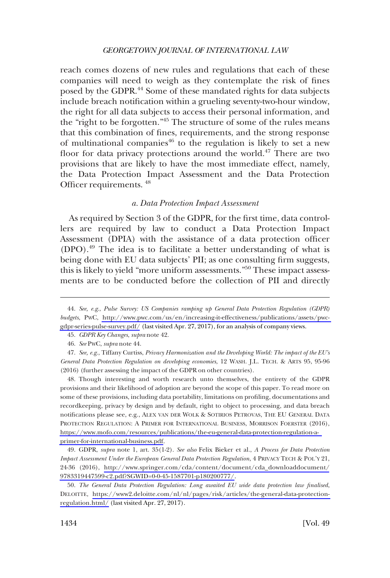<span id="page-9-0"></span>reach comes dozens of new rules and regulations that each of these companies will need to weigh as they contemplate the risk of fines posed by the GDPR.<sup>44</sup> Some of these mandated rights for data subjects include breach notification within a grueling seventy-two-hour window, the right for all data subjects to access their personal information, and the "right to be forgotten."45 The structure of some of the rules means that this combination of fines, requirements, and the strong response of multinational companies<sup>46</sup> to the regulation is likely to set a new floor for data privacy protections around the world.<sup>47</sup> There are two provisions that are likely to have the most immediate effect, namely, the Data Protection Impact Assessment and the Data Protection Officer requirements. 48

### *a. Data Protection Impact Assessment*

As required by Section 3 of the GDPR, for the first time, data controllers are required by law to conduct a Data Protection Impact Assessment (DPIA) with the assistance of a data protection officer (DPO).49 The idea is to facilitate a better understanding of what is being done with EU data subjects' PII; as one consulting firm suggests, this is likely to yield "more uniform assessments."<sup>50</sup> These impact assessments are to be conducted before the collection of PII and directly

Though interesting and worth research unto themselves, the entirety of the GDPR 48. provisions and their likelihood of adoption are beyond the scope of this paper. To read more on some of these provisions, including data portability, limitations on profiling, documentations and recordkeeping, privacy by design and by default, right to object to processing, and data breach notifications please see, e.g., ALEX VAN DER WOLK & SOTIRIOS PETROVAS, THE EU GENERAL DATA PROTECTION REGULATION: A PRIMER FOR INTERNATIONAL BUSINESS, MORRISON FOERSTER (2016), [https://www.mofo.com/resources/publications/the-eu-general-data-protection-regulation-a](https://www.mofo.com/resources/publications/the-eu-general-data-protection-regulation-a-primer-for-international-business.pdf)[primer-for-international-business.pdf](https://www.mofo.com/resources/publications/the-eu-general-data-protection-regulation-a-primer-for-international-business.pdf).

GDPR, *supra* note 1, art. 35(1-2). *See also* Felix Bieker et al., *A Process for Data Protection*  49. *Impact Assessment Under the European General Data Protection Regulation*, 4 PRIVACY TECH & POL'Y 21, 24-36 (2016), [http://www.springer.com/cda/content/document/cda\\_downloaddocument/](http://www.springer.com/cda/content/document/cda_downloaddocument/9783319447599-c2.pdf?SGWID=0-0-45-1587701-p180200777/) [9783319447599-c2.pdf?SGWID=0-0-45-1587701-p180200777/](http://www.springer.com/cda/content/document/cda_downloaddocument/9783319447599-c2.pdf?SGWID=0-0-45-1587701-p180200777/).

*The General Data Protection Regulation: Long awaited EU wide data protection law finalised*, 50. DELOITTE, [https://www2.deloitte.com/nl/nl/pages/risk/articles/the-general-data-protection](https://www2.deloitte.com/nl/nl/pages/risk/articles/the-general-data-protection-regulation.html/)[regulation.html/](https://www2.deloitte.com/nl/nl/pages/risk/articles/the-general-data-protection-regulation.html/) (last visited Apr. 27, 2017).

*See, e.g*., *Pulse Survey: US Companies ramping up General Data Protection Regulation (GDPR)*  44. *budgets*, PWC, [http://www.pwc.com/us/en/increasing-it-effectiveness/publications/assets/pwc](http://www.pwc.com/us/en/increasing-it-effectiveness/publications/assets/pwc-gdpr-series-pulse-survey.pdf/)[gdpr-series-pulse-survey.pdf/](http://www.pwc.com/us/en/increasing-it-effectiveness/publications/assets/pwc-gdpr-series-pulse-survey.pdf/) (last visited Apr. 27, 2017), for an analysis of company views.

<sup>45.</sup> *GDPR Key Changes*, *supra* note 42.

<sup>46.</sup> *See* PWC, *supra* note 44.

<sup>47.</sup> *See, e.g*., Tiffany Curtiss, *Privacy Harmonization and the Developing World: The impact of the EU's General Data Protection Regulation on developing economies*, 12 WASH. J.L. TECH. & ARTS 95, 95-96 (2016) (further assessing the impact of the GDPR on other countries).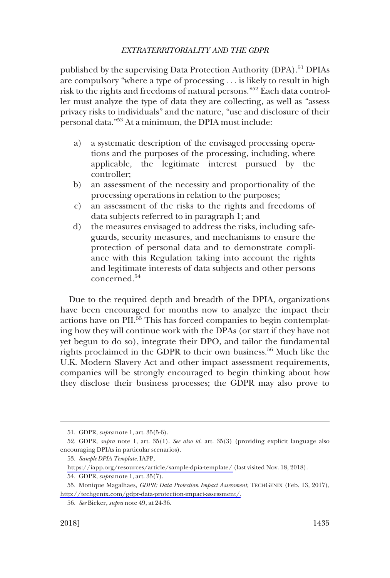published by the supervising Data Protection Authority (DPA).<sup>51</sup> DPIAs are compulsory "where a type of processing . . . is likely to result in high risk to the rights and freedoms of natural persons."52 Each data controller must analyze the type of data they are collecting, as well as "assess privacy risks to individuals" and the nature, "use and disclosure of their personal data."53 At a minimum, the DPIA must include:

- a) a systematic description of the envisaged processing operations and the purposes of the processing, including, where applicable, the legitimate interest pursued by the controller;
- b) an assessment of the necessity and proportionality of the processing operations in relation to the purposes;
- c) an assessment of the risks to the rights and freedoms of data subjects referred to in paragraph 1; and
- d) the measures envisaged to address the risks, including safeguards, security measures, and mechanisms to ensure the protection of personal data and to demonstrate compliance with this Regulation taking into account the rights and legitimate interests of data subjects and other persons concerned.<sup>54</sup>

Due to the required depth and breadth of the DPIA, organizations have been encouraged for months now to analyze the impact their actions have on PII.<sup>55</sup> This has forced companies to begin contemplating how they will continue work with the DPAs (or start if they have not yet begun to do so), integrate their DPO, and tailor the fundamental rights proclaimed in the GDPR to their own business.<sup>56</sup> Much like the U.K. Modern Slavery Act and other impact assessment requirements, companies will be strongly encouraged to begin thinking about how they disclose their business processes; the GDPR may also prove to

<sup>51.</sup> GDPR, *supra* note 1, art. 35(5-6).

<sup>52.</sup> GDPR, *supra* note 1, art. 35(1). *See also id*. art. 35(3) (providing explicit language also encouraging DPIAs in particular scenarios).

*Sample DPIA Template*, IAPP, 53.

<https://iapp.org/resources/article/sample-dpia-template/>(last visited Nov. 18, 2018).

<sup>54.</sup> GDPR, *supra* note 1, art. 35(7).

<sup>55.</sup> Monique Magalhaes, *GDPR: Data Protection Impact Assessment*, TECHGENIX (Feb. 13, 2017), [http://techgenix.com/gdpr-data-protection-impact-assessment/.](http://techgenix.com/gdpr-data-protection-impact-assessment/)

<sup>56.</sup> *See* Bieker, *supra* note 49, at 24-36.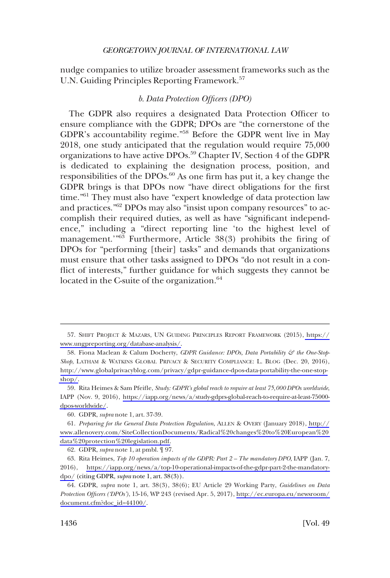<span id="page-11-0"></span>nudge companies to utilize broader assessment frameworks such as the U.N. Guiding Principles Reporting Framework.<sup>57</sup>

## *b. Data Protection Officers (DPO)*

The GDPR also requires a designated Data Protection Officer to ensure compliance with the GDPR; DPOs are "the cornerstone of the GDPR's accountability regime."<sup>58</sup> Before the GDPR went live in May 2018, one study anticipated that the regulation would require 75,000 organizations to have active DPOs.<sup>59</sup> Chapter IV, Section 4 of the GDPR is dedicated to explaining the designation process, position, and responsibilities of the DPOs.60 As one firm has put it, a key change the GDPR brings is that DPOs now "have direct obligations for the first time."61 They must also have "expert knowledge of data protection law and practices."62 DPOs may also "insist upon company resources" to accomplish their required duties, as well as have "significant independence," including a "direct reporting line 'to the highest level of management.<sup>1963</sup> Furthermore, Article 38(3) prohibits the firing of DPOs for "performing [their] tasks" and demands that organizations must ensure that other tasks assigned to DPOs "do not result in a conflict of interests," further guidance for which suggests they cannot be located in the C-suite of the organization.<sup>64</sup>

<sup>57.</sup> SHIFT PROJECT & MAZARS, UN GUIDING PRINCIPLES REPORT FRAMEWORK (2015), [https://](https://www.ungpreporting.org/database-analysis/) [www.ungpreporting.org/database-analysis/.](https://www.ungpreporting.org/database-analysis/)

<sup>58.</sup> Fiona Maclean & Calum Docherty, *GDPR Guidance: DPOs, Data Portability & the One-Stop-Shop*, LATHAM & WATKINS GLOBAL PRIVACY & SECURITY COMPLIANCE: L. BLOG (Dec. 20, 2016), [http://www.globalprivacyblog.com/privacy/gdpr-guidance-dpos-data-portability-the-one-stop](http://www.globalprivacyblog.com/privacy/gdpr-guidance-dpos-data-portability-the-one-stop-shop/)[shop/](http://www.globalprivacyblog.com/privacy/gdpr-guidance-dpos-data-portability-the-one-stop-shop/).

<sup>59.</sup> Rita Heimes & Sam Pfeifle, *Study: GDPR's global reach to require at least 75,000 DPOs worldwide*, IAPP (Nov. 9, 2016), [https://iapp.org/news/a/study-gdprs-global-reach-to-require-at-least-75000](https://iapp.org/news/a/study-gdprs-global-reach-to-require-at-least-75000-dpos-worldwide/)  [dpos-worldwide/](https://iapp.org/news/a/study-gdprs-global-reach-to-require-at-least-75000-dpos-worldwide/).

<sup>60.</sup> GDPR, *supra* note 1, art. 37-39.

*Preparing for the General Data Protection Regulation*, ALLEN & OVERY (January 2018), [http://](http://www.allenovery.com/SiteCollectionDocuments/Radical%20changes%20to%20European%20data%20protection%20legislation.pdf) 61. [www.allenovery.com/SiteCollectionDocuments/Radical%20changes%20to%20European%20](http://www.allenovery.com/SiteCollectionDocuments/Radical%20changes%20to%20European%20data%20protection%20legislation.pdf)  [data%20protection%20legislation.pdf.](http://www.allenovery.com/SiteCollectionDocuments/Radical%20changes%20to%20European%20data%20protection%20legislation.pdf)

<sup>62.</sup> GDPR, *supra* note 1, at pmbl. ¶ 97.

<sup>63.</sup> Rita Heimes, *Top 10 operation impacts of the GDPR: Part 2 – The mandatory DPO*, IAPP (Jan. 7, 2016), [https://iapp.org/news/a/top-10-operational-impacts-of-the-gdpr-part-2-the-mandatory](https://iapp.org/news/a/top-10-operational-impacts-of-the-gdpr-part-2-the-mandatory-dpo/)[dpo/](https://iapp.org/news/a/top-10-operational-impacts-of-the-gdpr-part-2-the-mandatory-dpo/) (citing GDPR, *supra* note 1, art. 38(3)).

GDPR, *supra* note 1, art. 38(3), 38(6); EU Article 29 Working Party, *Guidelines on Data*  64. *Protection Officers ('DPOs')*, 15-16, WP 243 (revised Apr. 5, 2017), [http://ec.europa.eu/newsroom/](http://ec.europa.eu/newsroom/document.cfm?doc_id=44100/) [document.cfm?doc\\_id=44100/](http://ec.europa.eu/newsroom/document.cfm?doc_id=44100/).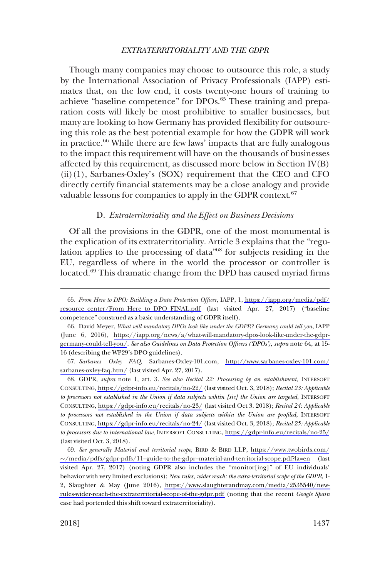<span id="page-12-0"></span>Though many companies may choose to outsource this role, a study by the International Association of Privacy Professionals (IAPP) estimates that, on the low end, it costs twenty-one hours of training to achieve "baseline competence" for DPOs.<sup>65</sup> These training and preparation costs will likely be most prohibitive to smaller businesses, but many are looking to how Germany has provided flexibility for outsourcing this role as the best potential example for how the GDPR will work in practice.<sup>66</sup> While there are few laws' impacts that are fully analogous to the impact this requirement will have on the thousands of businesses affected by this requirement, as discussed more below in Section IV(B)  $(ii)(1)$ , Sarbanes-Oxley's (SOX) requirement that the CEO and CFO directly certify financial statements may be a close analogy and provide valuable lessons for companies to apply in the GDPR context. $67$ 

#### D. *Extraterritoriality and the Effect on Business Decisions*

Of all the provisions in the GDPR, one of the most monumental is the explication of its extraterritoriality. Article 3 explains that the "regulation applies to the processing of data"68 for subjects residing in the EU, regardless of where in the world the processor or controller is located.<sup>69</sup> This dramatic change from the DPD has caused myriad firms

*Sarbanes Oxley FAQ*, Sarbanes-Oxley-101.com, [http://www.sarbanes-oxley-101.com/](http://www.sarbanes-oxley-101.com/sarbanes-oxley-faq.htm/) 67. [sarbanes-oxley-faq.htm/](http://www.sarbanes-oxley-101.com/sarbanes-oxley-faq.htm/) (last visited Apr. 27, 2017).

GDPR, *supra* note 1, art. 3. *See also Recital 22: Processing by an establishment*, INTERSOFT 68. CONSULTING,<https://gdpr-info.eu/recitals/no-22/>(last visited Oct. 3, 2018); *Recital 23: Applicable to processors not established in the Union if data subjects wihtin [sic] the Union are targeted*, INTERSOFT CONSULTING, <https://gdpr-info.eu/recitals/no-23/> (last visited Oct 3. 2018); *Recital 24: Applicable to processors not established in the Union if data subjects within the Union are profiled*, INTERSOFT CONSULTING,<https://gdpr-info.eu/recitals/no-24/> (last visited Oct. 3, 2018); *Recital 25: Applicable to processors due to international law*, INTERSOFT CONSULTING, <https://gdpr-info.eu/recitals/no-25/> (last visited Oct. 3, 2018).

*See generally Material and territorial scope*, BIRD & BIRD LLP, [https://www.twobirds.com/](https://www.twobirds.com/%7E/media/pdfs/gdpr-pdfs/11%E2%80%93guide-to-the-gdpr%E2%80%93material-and-territorial-scope.pdf?la=en) 69. �[/media/pdfs/gdpr-pdfs/11–guide-to-the-gdpr–material-and-territorial-scope.pdf?la=en](https://www.twobirds.com/%7E/media/pdfs/gdpr-pdfs/11%E2%80%93guide-to-the-gdpr%E2%80%93material-and-territorial-scope.pdf?la=en) (last visited Apr. 27, 2017) (noting GDPR also includes the "monitor[ing]" of EU individuals' behavior with very limited exclusions); *New rules, wider reach: the extra-territorial scope of the GDPR*, 1- 2, Slaughter & May (June 2016), [https://www.slaughterandmay.com/media/2535540/new](https://www.slaughterandmay.com/media/2535540/new-rules-wider-reach-the-extraterritorial-scope-of-the-gdpr.pdf)[rules-wider-reach-the-extraterritorial-scope-of-the-gdpr.pdf](https://www.slaughterandmay.com/media/2535540/new-rules-wider-reach-the-extraterritorial-scope-of-the-gdpr.pdf) (noting that the recent *Google Spain*  case had portended this shift toward extraterritoriality).

*From Here to DPO: Building a Data Protection Officer*, IAPP, 1, [https://iapp.org/media/pdf/](https://iapp.org/media/pdf/resource_center/From_Here_to_DPO_FINAL.pdf) 65. [resource\\_center/From\\_Here\\_to\\_DPO\\_FINAL.pdf](https://iapp.org/media/pdf/resource_center/From_Here_to_DPO_FINAL.pdf) (last visited Apr. 27, 2017) ("baseline competence" construed as a basic understanding of GDPR itself).

<sup>66.</sup> David Meyer, What will mandatory DPOs look like under the GDPR? Germany could tell you, IAPP (June 6, 2016), [https://iapp.org/news/a/what-will-mandatory-dpos-look-like-under-the-gdpr](https://iapp.org/news/a/what-will-mandatory-dpos-look-like-under-the-gdpr-germany-could-tell-you/)[germany-could-tell-you/](https://iapp.org/news/a/what-will-mandatory-dpos-look-like-under-the-gdpr-germany-could-tell-you/). *See also Guidelines on Data Protection Officers ('DPOs')*, *supra* note 64, at 15- 16 (describing the WP29's DPO guidelines).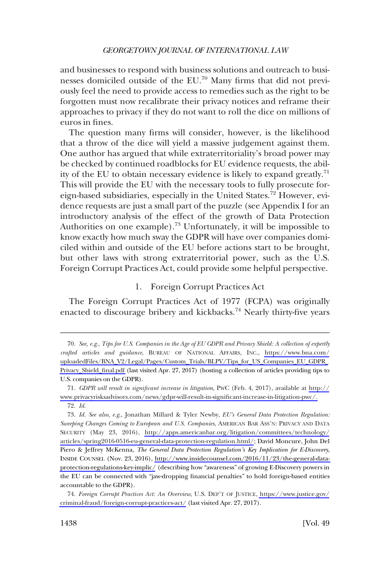<span id="page-13-0"></span>and businesses to respond with business solutions and outreach to businesses domiciled outside of the EU.<sup>70</sup> Many firms that did not previously feel the need to provide access to remedies such as the right to be forgotten must now recalibrate their privacy notices and reframe their approaches to privacy if they do not want to roll the dice on millions of euros in fines.

The question many firms will consider, however, is the likelihood that a throw of the dice will yield a massive judgement against them. One author has argued that while extraterritoriality's broad power may be checked by continued roadblocks for EU evidence requests, the ability of the EU to obtain necessary evidence is likely to expand greatly.71 This will provide the EU with the necessary tools to fully prosecute foreign-based subsidiaries, especially in the United States.72 However, evidence requests are just a small part of the puzzle (see Appendix I for an introductory analysis of the effect of the growth of Data Protection Authorities on one example).<sup>73</sup> Unfortunately, it will be impossible to know exactly how much sway the GDPR will have over companies domiciled within and outside of the EU before actions start to be brought, but other laws with strong extraterritorial power, such as the U.S. Foreign Corrupt Practices Act, could provide some helpful perspective.

### 1. Foreign Corrupt Practices Act

The Foreign Corrupt Practices Act of 1977 (FCPA) was originally enacted to discourage bribery and kickbacks.<sup>74</sup> Nearly thirty-five years

*See, e.g*., *Tips for U.S. Companies in the Age of EU GDPR and Privacy Shield: A collection of expertly*  70. *crafted articles and guidance*, BUREAU OF NATIONAL AFFAIRS, INC., [https://www.bna.com/](https://www.bna.com/uploadedFiles/BNA_V2/Legal/Pages/Custom_Trials/BLPV/Tips_for_US_Companies_EU_GDPR_Privacy_Shield_final.pdf) [uploadedFiles/BNA\\_V2/Legal/Pages/Custom\\_Trials/BLPV/Tips\\_for\\_US\\_Companies\\_EU\\_GDPR\\_](https://www.bna.com/uploadedFiles/BNA_V2/Legal/Pages/Custom_Trials/BLPV/Tips_for_US_Companies_EU_GDPR_Privacy_Shield_final.pdf) [Privacy\\_Shield\\_final.pdf](https://www.bna.com/uploadedFiles/BNA_V2/Legal/Pages/Custom_Trials/BLPV/Tips_for_US_Companies_EU_GDPR_Privacy_Shield_final.pdf) (last visited Apr. 27, 2017) (hosting a collection of articles providing tips to U.S. companies on the GDPR).

*GDPR will result in significant increase in litigation*, PWC (Feb. 4, 2017), available at [http://](http://www.privacyrisksadvisors.com/news/gdpr-will-result-in-significant-increase-in-litigation-pwc/) 71. [www.privacyrisksadvisors.com/news/gdpr-will-result-in-significant-increase-in-litigation-pwc/.](http://www.privacyrisksadvisors.com/news/gdpr-will-result-in-significant-increase-in-litigation-pwc/) 72. *Id*.

*Id. See also, e.g*., Jonathan Millard & Tyler Newby, *EU's General Data Protection Regulation:*  73. *Sweeping Changes Coming to European and U.S. Companies*, AMERICAN BAR ASS'N: PRIVACY AND DATA SECURITY (May 23, 2016), [http://apps.americanbar.org/litigation/committees/technology/](http://apps.americanbar.org/litigation/committees/technology/articles/spring2016-0516-eu-general-data-protection-regulation.html/) [articles/spring2016-0516-eu-general-data-protection-regulation.html/](http://apps.americanbar.org/litigation/committees/technology/articles/spring2016-0516-eu-general-data-protection-regulation.html/); David Moncure, John Del Piero & Jeffrey McKenna, *The General Data Protection Regulation's Key Implication for E-Discovery*, INSIDE COUNSEL (Nov. 23, 2016), [http://www.insidecounsel.com/2016/11/23/the-general-data](http://www.insidecounsel.com/2016/11/23/the-general-data-protection-regulations-key-implic/)[protection-regulations-key-implic/](http://www.insidecounsel.com/2016/11/23/the-general-data-protection-regulations-key-implic/) (describing how "awareness" of growing E-Discovery powers in the EU can be connected with "jaw-dropping financial penalties" to hold foreign-based entities accountable to the GDPR).

*Foreign Corrupt Practices Act: An Overview*, U.S. DEP'T OF JUSTICE, [https://www.justice.gov/](https://www.justice.gov/criminal-fraud/foreign-corrupt-practices-act/)  74. [criminal-fraud/foreign-corrupt-practices-act/](https://www.justice.gov/criminal-fraud/foreign-corrupt-practices-act/) (last visited Apr. 27, 2017).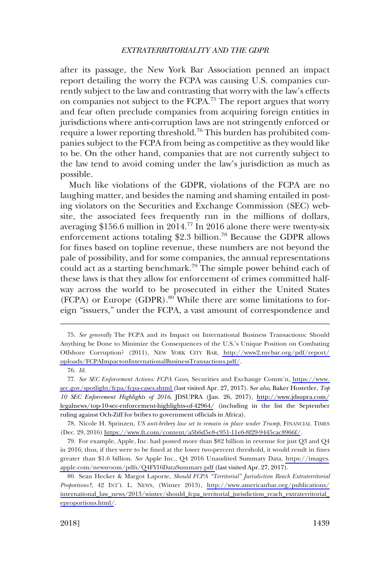after its passage, the New York Bar Association penned an impact report detailing the worry the FCPA was causing U.S. companies currently subject to the law and contrasting that worry with the law's effects on companies not subject to the FCPA.<sup>75</sup> The report argues that worry and fear often preclude companies from acquiring foreign entities in jurisdictions where anti-corruption laws are not stringently enforced or require a lower reporting threshold.<sup>76</sup> This burden has prohibited companies subject to the FCPA from being as competitive as they would like to be. On the other hand, companies that are not currently subject to the law tend to avoid coming under the law's jurisdiction as much as possible.

Much like violations of the GDPR, violations of the FCPA are no laughing matter, and besides the naming and shaming entailed in posting violators on the Securities and Exchange Commission (SEC) website, the associated fees frequently run in the millions of dollars, averaging  $$156.6$  million in  $2014.^{77}$  In  $2016$  alone there were twenty-six enforcement actions totaling \$2.3 billion.<sup>78</sup> Because the GDPR allows for fines based on topline revenue, these numbers are not beyond the pale of possibility, and for some companies, the annual representations could act as a starting benchmark.<sup>79</sup> The simple power behind each of these laws is that they allow for enforcement of crimes committed halfway across the world to be prosecuted in either the United States (FCPA) or Europe (GDPR).<sup>80</sup> While there are some limitations to foreign "issuers," under the FCPA, a vast amount of correspondence and

*See generally* The FCPA and its Impact on International Business Transactions: Should 75. Anything be Done to Minimize the Consequences of the U.S.'s Unique Position on Combating Offshore Corruption? (2011), NEW YORK CITY BAR, [http://www2.nycbar.org/pdf/report/](http://www2.nycbar.org/pdf/report/uploads/FCPAImpactonInternationalBusinessTransactions.pdf) [uploads/FCPAImpactonInternationalBusinessTransactions.pdf/](http://www2.nycbar.org/pdf/report/uploads/FCPAImpactonInternationalBusinessTransactions.pdf).

<sup>76.</sup> *Id*.

*See SEC Enforcement Actions: FCPA Cases*, Securities and Exchange Comm'n, [https://www.](https://www.sec.gov/spotlight/fcpa/fcpa-cases.shtml) 77. [sec.gov/spotlight/fcpa/fcpa-cases.shtml](https://www.sec.gov/spotlight/fcpa/fcpa-cases.shtml) (last visited Apr. 27, 2017). S*ee also*, Baker Hostetler, *Top 10 SEC Enforcement Highlights of 2016*, JDSUPRA (Jan. 26, 2017), [http://www.jdsupra.com/](http://www.jdsupra.com/legalnews/top-10-sec-enforcement-highlights-of-42964/) [legalnews/top-10-sec-enforcement-highlights-of-42964/](http://www.jdsupra.com/legalnews/top-10-sec-enforcement-highlights-of-42964/) (including in the list the September ruling against Och-Ziff for bribes to government officials in Africa).

<sup>78.</sup> Nicole H. Sprinzen, *US anti-bribery law set to remain in place under Trump*, FINANCIAL TIMES (Dec. 29, 2016)<https://www.ft.com/content/a5b6d5e8-c951-11e6-8f29-9445cac8966f/>.

For example, Apple, Inc. had posted more than \$82 billion in revenue for just Q3 and Q4 79. in 2016; thus, if they were to be fined at the lower two-percent threshold, it would result in fines greater than \$1.6 billion. *See* Apple Inc., Q4 2016 Unaudited Summary Data, [https://images.](https://images.apple.com/newsroom/pdfs/Q4FY16DataSummary.pdf) [apple.com/newsroom/pdfs/Q4FY16DataSummary.pdf](https://images.apple.com/newsroom/pdfs/Q4FY16DataSummary.pdf) (last visited Apr. 27, 2017).

Sean Hecker & Margot Laporte, *Should FCPA "Territorial" Jurisdiction Reach Extraterritorial*  80. *Proportions?*, 42 INT'L L. NEWS, (Winter 2013), [http://www.americanbar.org/publications/](http://www.americanbar.org/publications/international_law_news/2013/winter/should_fcpa_territorial_jurisdiction_reach_extraterritorial_eproportions.html/)  [international\\_law\\_news/2013/winter/should\\_fcpa\\_territorial\\_jurisdiction\\_reach\\_extraterritorial\\_](http://www.americanbar.org/publications/international_law_news/2013/winter/should_fcpa_territorial_jurisdiction_reach_extraterritorial_eproportions.html/)  [eproportions.html/](http://www.americanbar.org/publications/international_law_news/2013/winter/should_fcpa_territorial_jurisdiction_reach_extraterritorial_eproportions.html/).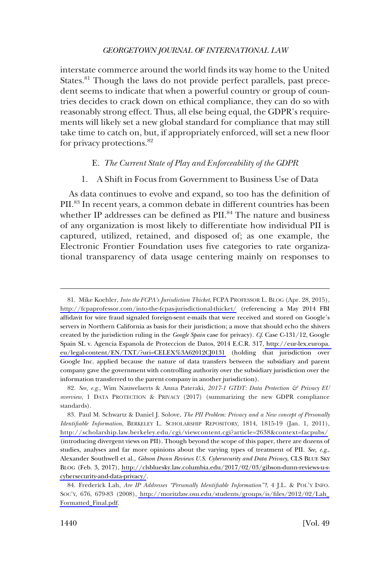<span id="page-15-0"></span>interstate commerce around the world finds its way home to the United States.<sup>81</sup> Though the laws do not provide perfect parallels, past precedent seems to indicate that when a powerful country or group of countries decides to crack down on ethical compliance, they can do so with reasonably strong effect. Thus, all else being equal, the GDPR's requirements will likely set a new global standard for compliance that may still take time to catch on, but, if appropriately enforced, will set a new floor for privacy protections.<sup>82</sup>

### E. *The Current State of Play and Enforceability of the GDPR*

### 1. A Shift in Focus from Government to Business Use of Data

As data continues to evolve and expand, so too has the definition of PII.83 In recent years, a common debate in different countries has been whether IP addresses can be defined as PII.<sup>84</sup> The nature and business of any organization is most likely to differentiate how individual PII is captured, utilized, retained, and disposed of; as one example, the Electronic Frontier Foundation uses five categories to rate organizational transparency of data usage centering mainly on responses to

<sup>81.</sup> Mike Koehler, *Into the FCPA's Jurisdiction Thicket*, FCPA PROFESSOR L. BLOG (Apr. 28, 2015), <http://fcpaprofessor.com/into-the-fcpas-jurisdictional-thicket/> (referencing a May 2014 FBI affidavit for wire fraud signaled foreign-sent e-mails that were received and stored on Google's servers in Northern California as basis for their jurisdiction; a move that should echo the shivers created by the jurisdiction ruling in the *Google Spain* case for privacy). *Cf*. Case C-131/12, Google Spain SL v. Agencia Espanola de Proteccion de Datos, 2014 E.C.R. 317, [http://eur-lex.europa.](http://eur-lex.europa.eu/legal-content/EN/TXT/?uri=CELEX%3A62012CJ0131)  [eu/legal-content/EN/TXT/?uri=CELEX%3A62012CJ0131](http://eur-lex.europa.eu/legal-content/EN/TXT/?uri=CELEX%3A62012CJ0131) (holding that jurisdiction over Google Inc. applied because the nature of data transfers between the subsidiary and parent company gave the government with controlling authority over the subsidiary jurisdiction over the information transferred to the parent company in another jurisdiction).

<sup>82.</sup> *See, e.g*., Wim Nauwelaerts & Anna Pateraki, *2017-1 GTDT: Data Protection & Privacy EU overview*, 1 DATA PROTECTION & PRIVACY (2017) (summarizing the new GDPR compliance standards).

<sup>83.</sup> Paul M. Schwartz & Daniel J. Solove, *The PII Problem: Privacy and a New concept of Personally Identifiable Information*, BERKELEY L. SCHOLARSHIP REPOSITORY, 1814, 1815-19 (Jan. 1, 2011), <http://scholarship.law.berkeley.edu/cgi/viewcontent.cgi?article=2638&context=facpubs/> (introducing divergent views on PII). Though beyond the scope of this paper, there are dozens of studies, analyses and far more opinions about the varying types of treatment of PII. *See, e.g*., Alexander Southwell et al., *Gibson Dunn Reviews U.S. Cybersecurity and Data Privacy*, CLS BLUE SKY BLOG (Feb. 3, 2017), [http://clsbluesky.law.columbia.edu/2017/02/03/gibson-dunn-reviews-u-s](http://clsbluesky.law.columbia.edu/2017/02/03/gibson-dunn-reviews-u-s-cybersecurity-and-data-privacy/)[cybersecurity-and-data-privacy/](http://clsbluesky.law.columbia.edu/2017/02/03/gibson-dunn-reviews-u-s-cybersecurity-and-data-privacy/).

<sup>84.</sup> Frederick Lah, *Are IP Addresses "Personally Identifiable Information"?*, 4 J.L. & POL'Y INFO. SOC'Y, 676, 679-83 (2008), [http://moritzlaw.osu.edu/students/groups/is/files/2012/02/Lah\\_](http://moritzlaw.osu.edu/students/groups/is/files/2012/02/Lah_Formatted_Final.pdf)  [Formatted\\_Final.pdf.](http://moritzlaw.osu.edu/students/groups/is/files/2012/02/Lah_Formatted_Final.pdf)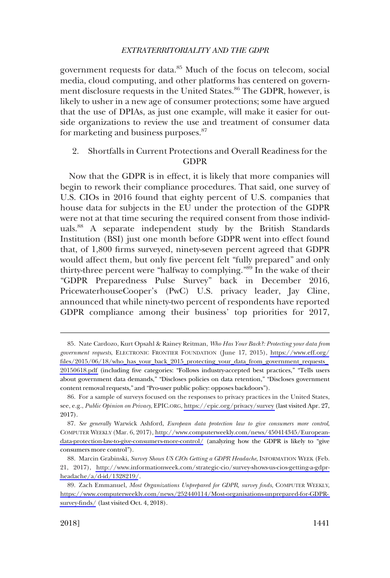<span id="page-16-0"></span>government requests for data.<sup>85</sup> Much of the focus on telecom, social media, cloud computing, and other platforms has centered on government disclosure requests in the United States.<sup>86</sup> The GDPR, however, is likely to usher in a new age of consumer protections; some have argued that the use of DPIAs, as just one example, will make it easier for outside organizations to review the use and treatment of consumer data for marketing and business purposes.<sup>87</sup>

## 2. Shortfalls in Current Protections and Overall Readiness for the GDPR

Now that the GDPR is in effect, it is likely that more companies will begin to rework their compliance procedures. That said, one survey of U.S. CIOs in 2016 found that eighty percent of U.S. companies that house data for subjects in the EU under the protection of the GDPR were not at that time securing the required consent from those individuals.88 A separate independent study by the British Standards Institution (BSI) just one month before GDPR went into effect found that, of 1,800 firms surveyed, ninety-seven percent agreed that GDPR would affect them, but only five percent felt "fully prepared" and only thirty-three percent were "halfway to complying."89 In the wake of their "GDPR Preparedness Pulse Survey" back in December 2016, PricewaterhouseCooper's (PwC) U.S. privacy leader, Jay Cline, announced that while ninety-two percent of respondents have reported GDPR compliance among their business' top priorities for 2017,

Nate Cardozo, Kurt Opsahl & Rainey Reitman, *Who Has Your Back?: Protecting your data from*  85. *government requests*, ELECTRONIC FRONTIER FOUNDATION (June 17, 2015), [https://www.eff.org/](https://www.eff.org/files/2015/06/18/who_has_your_back_2015_protecting_your_data_from_government_requests_20150618.pdf) [files/2015/06/18/who\\_has\\_your\\_back\\_2015\\_protecting\\_your\\_data\\_from\\_government\\_requests\\_](https://www.eff.org/files/2015/06/18/who_has_your_back_2015_protecting_your_data_from_government_requests_20150618.pdf)  [20150618.pdf](https://www.eff.org/files/2015/06/18/who_has_your_back_2015_protecting_your_data_from_government_requests_20150618.pdf) (including five categories: "Follows industry-accepted best practices," "Tells users about government data demands," "Discloses policies on data retention," "Discloses government content removal requests," and "Pro-user public policy: opposes backdoors").

<sup>86.</sup> For a sample of surveys focused on the responses to privacy practices in the United States, see, e.g., *Public Opinion on Privacy*, EPIC.ORG,<https://epic.org/privacy/survey>(last visited Apr. 27, 2017).

*See generally* Warwick Ashford, *European data protection law to give consumers more control*, 87. COMPUTER WEEKLY (Mar. 6, 2017), [http://www.computerweekly.com/news/450414345/European](http://www.computerweekly.com/news/450414345/European-data-protection-law-to-give-consumers-more-control/)[data-protection-law-to-give-consumers-more-control/](http://www.computerweekly.com/news/450414345/European-data-protection-law-to-give-consumers-more-control/) (analyzing how the GDPR is likely to "give consumers more control").

<sup>88.</sup> Marcin Grabinski, Survey Shows US CIOs Getting a GDPR Headache, INFORMATION WEEK (Feb. 21, 2017), [http://www.informationweek.com/strategic-cio/survey-shows-us-cios-getting-a-gdpr](http://www.informationweek.com/strategic-cio/survey-shows-us-cios-getting-a-gdpr-headache/a/d-id/1328219/)[headache/a/d-id/1328219/](http://www.informationweek.com/strategic-cio/survey-shows-us-cios-getting-a-gdpr-headache/a/d-id/1328219/).

<sup>89.</sup> Zach Emmanuel, Most Organizations Unprepared for GDPR, survey finds, COMPUTER WEEKLY, [https://www.computerweekly.com/news/252440114/Most-organisations-unprepared-for-GDPR](https://www.computerweekly.com/news/252440114/Most-organisations-unprepared-for-GDPR-survey-finds/)[survey-finds/](https://www.computerweekly.com/news/252440114/Most-organisations-unprepared-for-GDPR-survey-finds/) (last visited Oct. 4, 2018).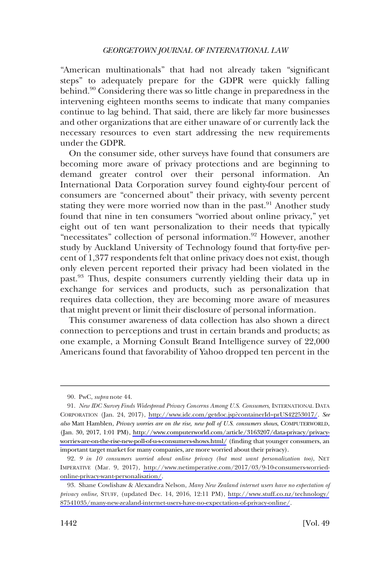"American multinationals" that had not already taken "significant steps" to adequately prepare for the GDPR were quickly falling behind.90 Considering there was so little change in preparedness in the intervening eighteen months seems to indicate that many companies continue to lag behind. That said, there are likely far more businesses and other organizations that are either unaware of or currently lack the necessary resources to even start addressing the new requirements under the GDPR.

On the consumer side, other surveys have found that consumers are becoming more aware of privacy protections and are beginning to demand greater control over their personal information. An International Data Corporation survey found eighty-four percent of consumers are "concerned about" their privacy, with seventy percent stating they were more worried now than in the past.<sup>91</sup> Another study found that nine in ten consumers "worried about online privacy," yet eight out of ten want personalization to their needs that typically "necessitates" collection of personal information.<sup>92</sup> However, another study by Auckland University of Technology found that forty-five percent of 1,377 respondents felt that online privacy does not exist, though only eleven percent reported their privacy had been violated in the past.<sup>93</sup> Thus, despite consumers currently yielding their data up in exchange for services and products, such as personalization that requires data collection, they are becoming more aware of measures that might prevent or limit their disclosure of personal information.

This consumer awareness of data collection has also shown a direct connection to perceptions and trust in certain brands and products; as one example, a Morning Consult Brand Intelligence survey of 22,000 Americans found that favorability of Yahoo dropped ten percent in the

<sup>90.</sup> PwC, *supra* note 44.

<sup>91.</sup> New IDC Survey Finds Widespread Privacy Concerns Among U.S. Consumers, INTERNATIONAL DATA CORPORATION (Jan. 24, 2017), <http://www.idc.com/getdoc.jsp?containerId=prUS42253017/>. *See also* Matt Hamblen, *Privacy worries are on the rise, new poll of U.S. consumers shows*, COMPUTERWORLD, (Jan. 30, 2017, 1:01 PM), [http://www.computerworld.com/article/3163207/data-privacy/privacy](http://www.computerworld.com/article/3163207/data-privacy/privacy-worries-are-on-the-rise-new-poll-of-u-s-consumers-shows.html/)[worries-are-on-the-rise-new-poll-of-u-s-consumers-shows.html/](http://www.computerworld.com/article/3163207/data-privacy/privacy-worries-are-on-the-rise-new-poll-of-u-s-consumers-shows.html/) (finding that younger consumers, an important target market for many companies, are more worried about their privacy).

*<sup>9</sup> in 10 consumers worried about online privacy (but most want personalization too)*, NET 92. IMPERATIVE (Mar. 9, 2017), [http://www.netimperative.com/2017/03/9-10-consumers-worried](http://www.netimperative.com/2017/03/9-10-consumers-worried-online-privacy-want-personalisation/)[online-privacy-want-personalisation/.](http://www.netimperative.com/2017/03/9-10-consumers-worried-online-privacy-want-personalisation/)

Shane Cowlishaw & Alexandra Nelson, *Many New Zealand internet users have no expectation of*  93. *privacy online*, STUFF, (updated Dec. 14, 2016, 12:11 PM), [http://www.stuff.co.nz/technology/](http://www.stuff.co.nz/technology/87541035/many-new-zealand-internet-users-have-no-expectation-of-privacy-online/)  [87541035/many-new-zealand-internet-users-have-no-expectation-of-privacy-online/](http://www.stuff.co.nz/technology/87541035/many-new-zealand-internet-users-have-no-expectation-of-privacy-online/).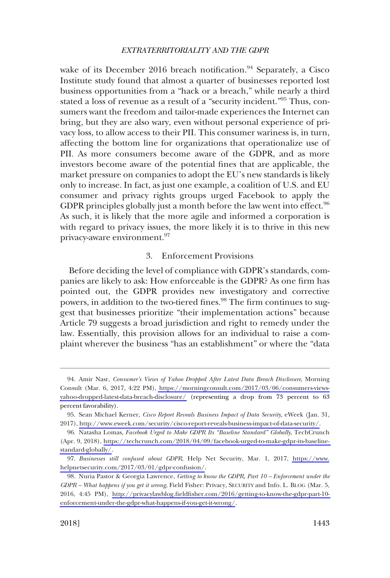<span id="page-18-0"></span>wake of its December 2016 breach notification.<sup>94</sup> Separately, a Cisco Institute study found that almost a quarter of businesses reported lost business opportunities from a "hack or a breach," while nearly a third stated a loss of revenue as a result of a "security incident."95 Thus, consumers want the freedom and tailor-made experiences the Internet can bring, but they are also wary, even without personal experience of privacy loss, to allow access to their PII. This consumer wariness is, in turn, affecting the bottom line for organizations that operationalize use of PII. As more consumers become aware of the GDPR, and as more investors become aware of the potential fines that are applicable, the market pressure on companies to adopt the EU's new standards is likely only to increase. In fact, as just one example, a coalition of U.S. and EU consumer and privacy rights groups urged Facebook to apply the GDPR principles globally just a month before the law went into effect.  $96$ As such, it is likely that the more agile and informed a corporation is with regard to privacy issues, the more likely it is to thrive in this new privacy-aware environment.97

### 3. Enforcement Provisions

Before deciding the level of compliance with GDPR's standards, companies are likely to ask: How enforceable is the GDPR? As one firm has pointed out, the GDPR provides new investigatory and corrective powers, in addition to the two-tiered fines.<sup>98</sup> The firm continues to suggest that businesses prioritize "their implementation actions" because Article 79 suggests a broad jurisdiction and right to remedy under the law. Essentially, this provision allows for an individual to raise a complaint wherever the business "has an establishment" or where the "data

Amir Nasr, *Consumer's Views of Yahoo Dropped After Latest Data Breach Disclosure*, Morning 94. Consult (Mar. 6, 2017, 4:22 PM), [https://morningconsult.com/2017/03/06/consumers-views](https://morningconsult.com/2017/03/06/consumers-views-yahoo-dropped-latest-data-breach-disclosure/)[yahoo-dropped-latest-data-breach-disclosure/](https://morningconsult.com/2017/03/06/consumers-views-yahoo-dropped-latest-data-breach-disclosure/) (representing a drop from 73 percent to 63 percent favorability).

<sup>95.</sup> Sean Michael Kerner, *Cisco Report Reveals Business Impact of Data Security*, eWeek (Jan. 31, 2017), [http://www.eweek.com/security/cisco-report-reveals-business-impact-of-data-security/.](http://www.eweek.com/security/cisco-report-reveals-business-impact-of-data-security/)

<sup>96.</sup> Natasha Lomas, *Facebook Urged to Make GDPR Its "Baseline Standard" Globally*, TechCrunch (Apr. 9, 2018), [https://techcrunch.com/2018/04/09/facebook-urged-to-make-gdpr-its-baseline](https://techcrunch.com/2018/04/09/facebook-urged-to-make-gdpr-its-baseline-standard-globally/)[standard-globally/](https://techcrunch.com/2018/04/09/facebook-urged-to-make-gdpr-its-baseline-standard-globally/).

*Businesses still confused about GDPR*, Help Net Security, Mar. 1, 2017, [https://www.](https://www.helpnetsecurity.com/2017/03/01/gdpr-confusion/) 97. [helpnetsecurity.com/2017/03/01/gdpr-confusion/](https://www.helpnetsecurity.com/2017/03/01/gdpr-confusion/).

Nuria Pastor & Georgia Lawrence, *Getting to know the GDPR, Part 10 – Enforcement under the*  98. *GDPR – What happens if you get it wrong*, Field Fisher: Privacy, SECURITY and Info. L. BLOG (Mar. 5, 2016, 4:45 PM), [http://privacylawblog.fieldfisher.com/2016/getting-to-know-the-gdpr-part-10](http://privacylawblog.fieldfisher.com/2016/getting-to-know-the-gdpr-part-10-enforcement-under-the-gdpr-what-happens-if-you-get-it-wrong/)  [enforcement-under-the-gdpr-what-happens-if-you-get-it-wrong/](http://privacylawblog.fieldfisher.com/2016/getting-to-know-the-gdpr-part-10-enforcement-under-the-gdpr-what-happens-if-you-get-it-wrong/).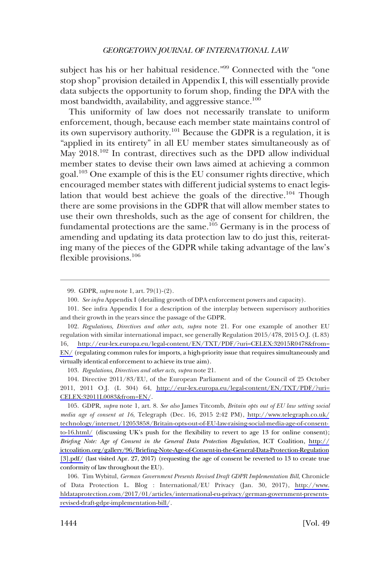subject has his or her habitual residence."<sup>99</sup> Connected with the "one stop shop" provision detailed in Appendix I, this will essentially provide data subjects the opportunity to forum shop, finding the DPA with the most bandwidth, availability, and aggressive stance.<sup>100</sup>

This uniformity of law does not necessarily translate to uniform enforcement, though, because each member state maintains control of its own supervisory authority.<sup>101</sup> Because the GDPR is a regulation, it is "applied in its entirety" in all EU member states simultaneously as of May 2018.<sup>102</sup> In contrast, directives such as the DPD allow individual member states to devise their own laws aimed at achieving a common goal.103 One example of this is the EU consumer rights directive, which encouraged member states with different judicial systems to enact legislation that would best achieve the goals of the directive.<sup>104</sup> Though there are some provisions in the GDPR that will allow member states to use their own thresholds, such as the age of consent for children, the fundamental protections are the same.<sup>105</sup> Germany is in the process of amending and updating its data protection law to do just this, reiterating many of the pieces of the GDPR while taking advantage of the law's flexible provisions.<sup>106</sup>

103. *Regulations, Directives and other acts, supra* note 21.

104. Directive 2011/83/EU, of the European Parliament and of the Council of 25 October 2011, 2011 O.J. (L 304) 64, [http://eur-lex.europa.eu/legal-content/EN/TXT/PDF/?uri=](http://eur-lex.europa.eu/legal-content/EN/TXT/PDF/?uri=CELEX:32011L0083&from=EN/)  [CELEX:32011L0083&from=EN/](http://eur-lex.europa.eu/legal-content/EN/TXT/PDF/?uri=CELEX:32011L0083&from=EN/).

GDPR, *supra* note 1, art. 8. *See also* James Titcomb, *Britain opts out of EU law setting social*  105. *media age of consent at 16*, Telegraph (Dec. 16, 2015 2:42 PM), [http://www.telegraph.co.uk/](http://www.telegraph.co.uk/technology/internet/12053858/Britain-opts-out-of-EU-law-raising-social-media-age-of-consent-to-16.html/) [technology/internet/12053858/Britain-opts-out-of-EU-law-raising-social-media-age-of-consent](http://www.telegraph.co.uk/technology/internet/12053858/Britain-opts-out-of-EU-law-raising-social-media-age-of-consent-to-16.html/)[to-16.html/](http://www.telegraph.co.uk/technology/internet/12053858/Britain-opts-out-of-EU-law-raising-social-media-age-of-consent-to-16.html/) (discussing UK's push for the flexibility to revert to age 13 for online consent); *Briefing Note: Age of Consent in the General Data Protection Regulation*, ICT Coalition, [http://](http://ictcoalition.org/gallery/96/Briefing-Note-Age-of-Consent-in-the-General-Data-Protection-Regulation[3].pdf/) [ictcoalition.org/gallery/96/Briefing-Note-Age-of-Consent-in-the-General-Data-Protection-Regulation](http://ictcoalition.org/gallery/96/Briefing-Note-Age-of-Consent-in-the-General-Data-Protection-Regulation[3].pdf/) [\[3\].pdf/](http://ictcoalition.org/gallery/96/Briefing-Note-Age-of-Consent-in-the-General-Data-Protection-Regulation[3].pdf/) (last visited Apr. 27, 2017) (requesting the age of consent be reverted to 13 to create true conformity of law throughout the EU).

106. Tim Wybitul, German Government Presents Revised Draft GDPR Implementation Bill, Chronicle of Data Protection L. Blog : International/EU Privacy (Jan. 30, 2017), [http://www.](http://www.hldataprotection.com/2017/01/articles/international-eu-privacy/german-government-presents-revised-draft-gdpr-implementation-bill/) [hldataprotection.com/2017/01/articles/international-eu-privacy/german-government-presents](http://www.hldataprotection.com/2017/01/articles/international-eu-privacy/german-government-presents-revised-draft-gdpr-implementation-bill/)[revised-draft-gdpr-implementation-bill/](http://www.hldataprotection.com/2017/01/articles/international-eu-privacy/german-government-presents-revised-draft-gdpr-implementation-bill/).

<sup>99.</sup> GDPR, *supra* note 1, art. 79(1)-(2).

<sup>100.</sup> *See infra* Appendix I (detailing growth of DPA enforcement powers and capacity).

<sup>101.</sup> See infra Appendix I for a description of the interplay between supervisory authorities and their growth in the years since the passage of the GDPR.

*Regulations, Directives and other acts, supra* note 21. For one example of another EU 102. regulation with similar international impact, see generally Regulation 2015/478, 2015 O.J. (L 83) 16, [http://eur-lex.europa.eu/legal-content/EN/TXT/PDF/?uri=CELEX:32015R0478&from=](http://eur-lex.europa.eu/legal-content/EN/TXT/PDF/?uri=CELEX:32015R0478&from=EN/) [EN/](http://eur-lex.europa.eu/legal-content/EN/TXT/PDF/?uri=CELEX:32015R0478&from=EN/) (regulating common rules for imports, a high-priority issue that requires simultaneously and virtually identical enforcement to achieve its true aim).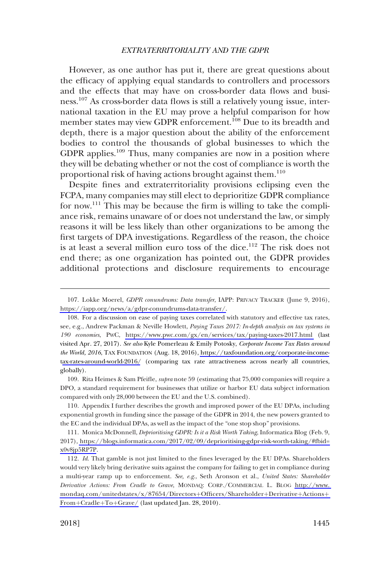However, as one author has put it, there are great questions about the efficacy of applying equal standards to controllers and processors and the effects that may have on cross-border data flows and business.107 As cross-border data flows is still a relatively young issue, international taxation in the EU may prove a helpful comparison for how member states may view GDPR enforcement.<sup>108</sup> Due to its breadth and depth, there is a major question about the ability of the enforcement bodies to control the thousands of global businesses to which the GDPR applies.109 Thus, many companies are now in a position where they will be debating whether or not the cost of compliance is worth the proportional risk of having actions brought against them.<sup>110</sup>

Despite fines and extraterritoriality provisions eclipsing even the FCPA, many companies may still elect to deprioritize GDPR compliance for now.111 This may be because the firm is willing to take the compliance risk, remains unaware of or does not understand the law, or simply reasons it will be less likely than other organizations to be among the first targets of DPA investigations. Regardless of the reason, the choice is at least a several million euro toss of the dice.<sup>112</sup> The risk does not end there; as one organization has pointed out, the GDPR provides additional protections and disclosure requirements to encourage

109. Rita Heimes & Sam Pfeifle, *supra* note 59 (estimating that 75,000 companies will require a DPO, a standard requirement for businesses that utilize or harbor EU data subject information compared with only 28,000 between the EU and the U.S. combined).

110. Appendix I further describes the growth and improved power of the EU DPAs, including exponential growth in funding since the passage of the GDPR in 2014, the new powers granted to the EC and the individual DPAs, as well as the impact of the "one stop shop" provisions.

111. Monica McDonnell, *Deprioritising GDPR: Is it a Risk Worth Taking*, Informatica Blog (Feb. 9, 2017), [https://blogs.informatica.com/2017/02/09/deprioritising-gdpr-risk-worth-taking/#fbid=](https://blogs.informatica.com/2017/02/09/deprioritising-gdpr-risk-worth-taking/#fbid=x0v8jp5RP7P) [x0v8jp5RP7P](https://blogs.informatica.com/2017/02/09/deprioritising-gdpr-risk-worth-taking/#fbid=x0v8jp5RP7P).

Lokke Moerel, *GDPR conundrums: Data transfer*, IAPP: PRIVACY TRACKER (June 9, 2016), 107. [https://iapp.org/news/a/gdpr-conundrums-data-transfer/.](https://iapp.org/news/a/gdpr-conundrums-data-transfer/)

<sup>108.</sup> For a discussion on ease of paying taxes correlated with statutory and effective tax rates, see, e.g., Andrew Packman & Neville Howlett, *Paying Taxes 2017: In-depth analysis on tax systems in 190 economies*, PWC, <https://www.pwc.com/gx/en/services/tax/paying-taxes-2017.html>(last visited Apr. 27, 2017). *See also* Kyle Pomerleau & Emily Potosky, *Corporate Income Tax Rates around the World, 2016*, TAX FOUNDATION (Aug. 18, 2016), [https://taxfoundation.org/corporate-income](https://taxfoundation.org/corporate-income-tax-rates-around-world-2016/)t[ax-rates-around-world-2016/](https://taxfoundation.org/corporate-income-tax-rates-around-world-2016/) (comparing tax rate attractiveness across nearly all countries, globally).

<sup>112.</sup> *Id*. That gamble is not just limited to the fines leveraged by the EU DPAs. Shareholders would very likely bring derivative suits against the company for failing to get in compliance during a multi-year ramp up to enforcement. *See, e.g*., Seth Aronson et al., *United States: Shareholder Derivative Actions: From Cradle to Grave*, MONDAQ: CORP./COMMERCIAL L. BLOG [http://www.](http://www.mondaq.com/unitedstates/x/87654/Directors+Officers/Shareholder+Derivative+Actions+From+Cradle+To+Grave/)  [mondaq.com/unitedstates/x/87654/Directors](http://www.mondaq.com/unitedstates/x/87654/Directors+Officers/Shareholder+Derivative+Actions+From+Cradle+To+Grave/)+Officers/Shareholder+Derivative+Actions+  $From + Cradle + To + Grave/$  (last updated Jan. 28, 2010).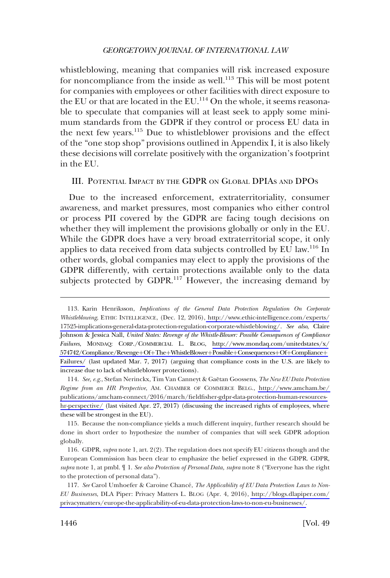<span id="page-21-0"></span>whistleblowing, meaning that companies will risk increased exposure for noncompliance from the inside as well.<sup>113</sup> This will be most potent for companies with employees or other facilities with direct exposure to the EU or that are located in the EU.<sup>114</sup> On the whole, it seems reasonable to speculate that companies will at least seek to apply some minimum standards from the GDPR if they control or process EU data in the next few years.115 Due to whistleblower provisions and the effect of the "one stop shop" provisions outlined in Appendix I, it is also likely these decisions will correlate positively with the organization's footprint in the EU.

### III. POTENTIAL IMPACT BY THE GDPR ON GLOBAL DPIAS AND DPOS

Due to the increased enforcement, extraterritoriality, consumer awareness, and market pressures, most companies who either control or process PII covered by the GDPR are facing tough decisions on whether they will implement the provisions globally or only in the EU. While the GDPR does have a very broad extraterritorial scope, it only applies to data received from data subjects controlled by EU law.116 In other words, global companies may elect to apply the provisions of the GDPR differently, with certain protections available only to the data subjects protected by GDPR.<sup>117</sup> However, the increasing demand by

<sup>113.</sup> Karin Henriksson, *Implications of the General Data Protection Regulation On Corporate Whistleblowing*, ETHIC INTELLIGENCE, (Dec. 12, 2016), [http://www.ethic-intelligence.com/experts/](http://www.ethic-intelligence.com/experts/17525-implications-general-data-protection-regulation-corporate-whistleblowing/) [17525-implications-general-data-protection-regulation-corporate-whistleblowing/.](http://www.ethic-intelligence.com/experts/17525-implications-general-data-protection-regulation-corporate-whistleblowing/) *See also*, Claire Johnson & Jessica Nall, *United States: Revenge of the Whistle-Blower: Possible Consequences of Compliance Failures*, MONDAQ: CORP./COMMERCIAL L. BLOG, [http://www.mondaq.com/unitedstates/x/](http://www.mondaq.com/unitedstates/x/574742/Compliance/Revenge+Of+The+WhistleBlower+Possible+Consequences+Of+Compliance+Failures/) [574742/Compliance/Revenge](http://www.mondaq.com/unitedstates/x/574742/Compliance/Revenge+Of+The+WhistleBlower+Possible+Consequences+Of+Compliance+Failures/)+Of+The+WhistleBlower+Possible+Consequences+Of+Compliance+ [Failures/](http://www.mondaq.com/unitedstates/x/574742/Compliance/Revenge+Of+The+WhistleBlower+Possible+Consequences+Of+Compliance+Failures/) (last updated Mar. 7, 2017) (arguing that compliance costs in the U.S. are likely to increase due to lack of whistleblower protections).

<sup>114.</sup> See, e.g., Stefan Nerinckx, Tim Van Canneyt & Gaëtan Goossens, *The New EU Data Protection Regime from an HR Perspective*, AM. CHAMBER OF COMMERCE BELG., [http://www.amcham.be/](http://www.amcham.be/publications/amcham-connect/2016/march/fieldfisher-gdpr-data-protection-human-resources-hr-perspective/)  [publications/amcham-connect/2016/march/fieldfisher-gdpr-data-protection-human-resources](http://www.amcham.be/publications/amcham-connect/2016/march/fieldfisher-gdpr-data-protection-human-resources-hr-perspective/)[hr-perspective/](http://www.amcham.be/publications/amcham-connect/2016/march/fieldfisher-gdpr-data-protection-human-resources-hr-perspective/) (last visited Apr. 27, 2017) (discussing the increased rights of employees, where these will be strongest in the EU).

<sup>115.</sup> Because the non-compliance yields a much different inquiry, further research should be done in short order to hypothesize the number of companies that will seek GDPR adoption globally.

<sup>116.</sup> GDPR, *supra* note 1, art. 2(2). The regulation does not specify EU citizens though and the European Commission has been clear to emphasize the belief expressed in the GDPR. GDPR, *supra* note 1, at pmbl. ¶ 1. *See also Protection of Personal Data, supra* note 8 ("Everyone has the right to the protection of personal data").

<sup>117.</sup> See Carol Umhoefer & Caroine Chancé, *The Applicability of EU Data Protection Laws to Non-EU Businesses*, DLA Piper: Privacy Matters L. BLOG (Apr. 4, 2016), [http://blogs.dlapiper.com/](http://blogs.dlapiper.com/privacymatters/europe-the-applicability-of-eu-data-protection-laws-to-non-eu-businesses/) [privacymatters/europe-the-applicability-of-eu-data-protection-laws-to-non-eu-businesses/.](http://blogs.dlapiper.com/privacymatters/europe-the-applicability-of-eu-data-protection-laws-to-non-eu-businesses/)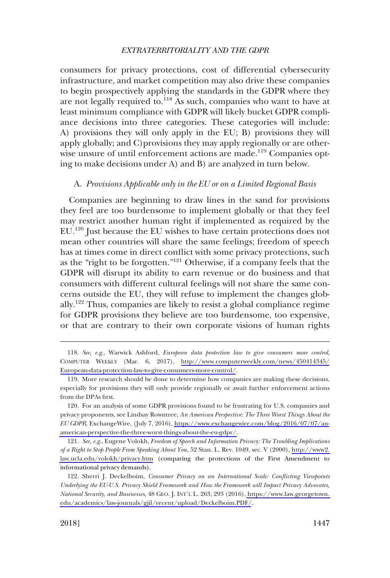<span id="page-22-0"></span>consumers for privacy protections, cost of differential cybersecurity infrastructure, and market competition may also drive these companies to begin prospectively applying the standards in the GDPR where they are not legally required to.<sup>118</sup> As such, companies who want to have at least minimum compliance with GDPR will likely bucket GDPR compliance decisions into three categories. These categories will include: A) provisions they will only apply in the EU; B) provisions they will apply globally; and C)provisions they may apply regionally or are otherwise unsure of until enforcement actions are made.<sup>119</sup> Companies opting to make decisions under A) and B) are analyzed in turn below.

### A. *Provisions Applicable only in the EU or on a Limited Regional Basis*

Companies are beginning to draw lines in the sand for provisions they feel are too burdensome to implement globally or that they feel may restrict another human right if implemented as required by the EU.<sup>120</sup> Just because the EU wishes to have certain protections does not mean other countries will share the same feelings; freedom of speech has at times come in direct conflict with some privacy protections, such as the "right to be forgotten."121 Otherwise, if a company feels that the GDPR will disrupt its ability to earn revenue or do business and that consumers with different cultural feelings will not share the same concerns outside the EU, they will refuse to implement the changes globally.122 Thus, companies are likely to resist a global compliance regime for GDPR provisions they believe are too burdensome, too expensive, or that are contrary to their own corporate visions of human rights

*See, e.g*., Warwick Ashford, *European data protection law to give consumers more control*, 118. COMPUTER WEEKLY (Mar. 6, 2017), [http://www.computerweekly.com/news/450414345/](http://www.computerweekly.com/news/450414345/European-data-protection-law-to-give-consumers-more-control/) [European-data-protection-law-to-give-consumers-more-control/](http://www.computerweekly.com/news/450414345/European-data-protection-law-to-give-consumers-more-control/).

<sup>119.</sup> More research should be done to determine how companies are making these decisions, especially for provisions they will only provide regionally or await further enforcement actions from the DPAs first.

<sup>120.</sup> For an analysis of some GDPR provisions found to be frustrating for U.S. companies and privacy proponents, see Lindsay Rowntree, *An American Perspective: The Three Worst Things About the EU GDPR*, ExchangeWire, (July 7, 2016), [https://www.exchangewire.com/blog/2016/07/07/an](https://www.exchangewire.com/blog/2016/07/07/an-american-perspective-the-three-worst-things-about-the-eu-gdpr/)[american-perspective-the-three-worst-things-about-the-eu-gdpr/.](https://www.exchangewire.com/blog/2016/07/07/an-american-perspective-the-three-worst-things-about-the-eu-gdpr/)

*See, e.g*., Eugene Volokh, *Freedom of Speech and Information Privacy: The Troubling Implications*  121. *of a Right to Stop People From Speaking About You*, 52 Stan. L. Rev. 1049, sec. V (2000), [http://www2.](http://www2.law.ucla.edu/volokh/privacy.htm) [law.ucla.edu/volokh/privacy.htm](http://www2.law.ucla.edu/volokh/privacy.htm) (comparing the protections of the First Amendment to informational privacy demands).

<sup>122.</sup> Sherri J. Deckelboim, *Consumer Privacy on an International Scale: Conflicting Viewpoints Underlying the EU-U.S. Privacy Shield Framework and How the Framework will Impact Privacy Advocates, National Security, and Businesses*, 48 GEO. J. INT'L L. 263, 293 (2016), [https://www.law.georgetown.](https://www.law.georgetown.edu/academics/law-journals/gjil/recent/upload/Deckelboim.PDF/)  [edu/academics/law-journals/gjil/recent/upload/Deckelboim.PDF/](https://www.law.georgetown.edu/academics/law-journals/gjil/recent/upload/Deckelboim.PDF/).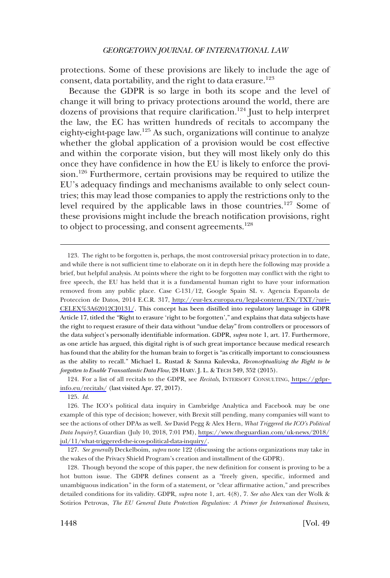protections. Some of these provisions are likely to include the age of consent, data portability, and the right to data erasure.<sup>123</sup>

Because the GDPR is so large in both its scope and the level of change it will bring to privacy protections around the world, there are dozens of provisions that require clarification.<sup>124</sup> Just to help interpret the law, the EC has written hundreds of recitals to accompany the eighty-eight-page law.125 As such, organizations will continue to analyze whether the global application of a provision would be cost effective and within the corporate vision, but they will most likely only do this once they have confidence in how the EU is likely to enforce the provision.<sup>126</sup> Furthermore, certain provisions may be required to utilize the EU's adequacy findings and mechanisms available to only select countries; this may lead those companies to apply the restrictions only to the level required by the applicable laws in those countries.<sup>127</sup> Some of these provisions might include the breach notification provisions, right to object to processing, and consent agreements.<sup>128</sup>

124. For a list of all recitals to the GDPR, see *Recitals*, INTERSOFT CONSULTING, [https://gdpr](https://gdpr-info.eu/recitals/)[info.eu/recitals/](https://gdpr-info.eu/recitals/) (last visited Apr. 27, 2017).

125. *Id*.

<sup>123.</sup> The right to be forgotten is, perhaps, the most controversial privacy protection in to date, and while there is not sufficient time to elaborate on it in depth here the following may provide a brief, but helpful analysis. At points where the right to be forgotten may conflict with the right to free speech, the EU has held that it is a fundamental human right to have your information removed from any public place. Case C-131/12, Google Spain SL v. Agencia Espanola de Proteccion de Datos, 2014 E.C.R. 317, [http://eur-lex.europa.eu/legal-content/EN/TXT/?uri=](http://eur-lex.europa.eu/legal-content/EN/TXT/?uri=CELEX%3A62012CJ0131/)  [CELEX%3A62012CJ0131/](http://eur-lex.europa.eu/legal-content/EN/TXT/?uri=CELEX%3A62012CJ0131/). This concept has been distilled into regulatory language in GDPR Article 17, titled the "Right to erasure 'right to be forgotten'," and explains that data subjects have the right to request erasure of their data without "undue delay" from controllers or processors of the data subject's personally identifiable information. GDPR, *supra* note 1, art. 17. Furthermore, as one article has argued, this digital right is of such great importance because medical research has found that the ability for the human brain to forget is "as critically important to consciousness as the ability to recall." Michael L. Rustad & Sanna Kulevska, *Reconceptualizing the Right to be forgotten to Enable Transatlantic Data Flow*, 28 HARV. J. L. & TECH 349, 352 (2015).

<sup>126.</sup> The ICO's political data inquiry in Cambridge Analytica and Facebook may be one example of this type of decision; however, with Brexit still pending, many companies will want to see the actions of other DPAs as well. *See* David Pegg & Alex Hern, *What Triggered the ICO's Political Data Inquiry?*, Guardian (July 10, 2018, 7:01 PM), [https://www.theguardian.com/uk-news/2018/](https://www.theguardian.com/uk-news/2018/jul/11/what-triggered-the-icos-political-data-inquiry/) [jul/11/what-triggered-the-icos-political-data-inquiry/](https://www.theguardian.com/uk-news/2018/jul/11/what-triggered-the-icos-political-data-inquiry/).

<sup>127.</sup> *See generally* Deckelboim, *supra* note 122 (discussing the actions organizations may take in the wakes of the Privacy Shield Program's creation and installment of the GDPR).

<sup>128.</sup> Though beyond the scope of this paper, the new definition for consent is proving to be a hot button issue. The GDPR defines consent as a "freely given, specific, informed and unambiguous indication" in the form of a statement, or "clear affirmative action," and prescribes detailed conditions for its validity. GDPR, *supra* note 1, art. 4(8), 7. *See also* Alex van der Wolk & Sotirios Petrovas, *The EU General Data Protection Regulation: A Primer for International Business*,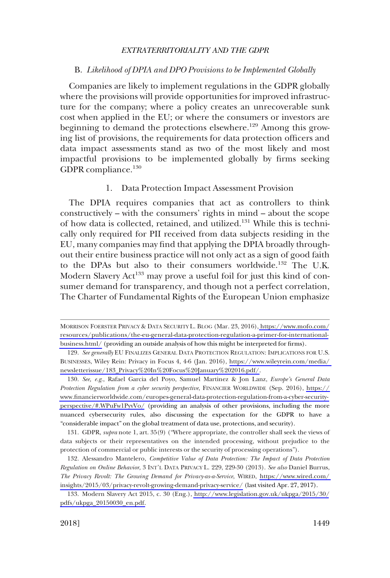### <span id="page-24-0"></span>B. *Likelihood of DPIA and DPO Provisions to be Implemented Globally*

Companies are likely to implement regulations in the GDPR globally where the provisions will provide opportunities for improved infrastructure for the company; where a policy creates an unrecoverable sunk cost when applied in the EU; or where the consumers or investors are beginning to demand the protections elsewhere.<sup>129</sup> Among this growing list of provisions, the requirements for data protection officers and data impact assessments stand as two of the most likely and most impactful provisions to be implemented globally by firms seeking GDPR compliance.130

### 1. Data Protection Impact Assessment Provision

The DPIA requires companies that act as controllers to think constructively – with the consumers' rights in mind – about the scope of how data is collected, retained, and utilized.131 While this is technically only required for PII received from data subjects residing in the EU, many companies may find that applying the DPIA broadly throughout their entire business practice will not only act as a sign of good faith to the DPAs but also to their consumers worldwide.<sup>132</sup> The U.K. Modern Slavery Act<sup>133</sup> may prove a useful foil for just this kind of consumer demand for transparency, and though not a perfect correlation, The Charter of Fundamental Rights of the European Union emphasize

131. GDPR, *supra* note 1, art. 35(9) ("Where appropriate, the controller shall seek the views of data subjects or their representatives on the intended processing, without prejudice to the protection of commercial or public interests or the security of processing operations").

MORRISON FOERSTER PRIVACY & DATA SECURITY L. BLOG (Mar. 23, 2016), [https://www.mofo.com/](https://www.mofo.com/resources/publications/the-eu-general-data-protection-regulation-a-primer-for-international-business.html/) [resources/publications/the-eu-general-data-protection-regulation-a-primer-for-international](https://www.mofo.com/resources/publications/the-eu-general-data-protection-regulation-a-primer-for-international-business.html/)[business.html/](https://www.mofo.com/resources/publications/the-eu-general-data-protection-regulation-a-primer-for-international-business.html/) (providing an outside analysis of how this might be interpreted for firms).

<sup>129.</sup> See generally EU FINALIZES GENERAL DATA PROTECTION REGULATION: IMPLICATIONS FOR U.S. BUSINESSES, Wiley Rein: Privacy in Focus 4, 4-6 (Jan. 2016), [https://www.wileyrein.com/media/](https://www.wileyrein.com/media/newsletterissue/183_Privacy%20In%20Focus%20January%202016.pdf/)  [newsletterissue/183\\_Privacy%20In%20Focus%20January%202016.pdf/](https://www.wileyrein.com/media/newsletterissue/183_Privacy%20In%20Focus%20January%202016.pdf/).

*See, e.g*., Rafael Garcia del Poyo, Samuel Martinez & Jon Lanz, *Europe's General Data*  130. *Protection Regulation from a cyber security perspective*, FINANCIER WORLDWIDE (Sep. 2016), [https://](https://www.financierworldwide.com/europes-general-data-protection-regulation-from-a-cyber-security-perspective/#.WPuFw1PyvVo/) [www.financierworldwide.com/europes-general-data-protection-regulation-from-a-cyber-security](https://www.financierworldwide.com/europes-general-data-protection-regulation-from-a-cyber-security-perspective/#.WPuFw1PyvVo/)[perspective/#.WPuFw1PyvVo/](https://www.financierworldwide.com/europes-general-data-protection-regulation-from-a-cyber-security-perspective/#.WPuFw1PyvVo/) (providing an analysis of other provisions, including the more nuanced cybersecurity rules, also discussing the expectation for the GDPR to have a "considerable impact" on the global treatment of data use, protections, and security).

Alessandro Mantelero, *Competitive Value of Data Protection: The Impact of Data Protection*  132. *Regulation on Online Behavior*, 3 INT'L DATA PRIVACY L. 229, 229-30 (2013). *See also* Daniel Burrus, *The Privacy Revolt: The Growing Demand for Privacy-as-a-Service*, WIRED, [https://www.wired.com/](https://www.wired.com/insights/2015/03/privacy-revolt-growing-demand-privacy-service/)  [insights/2015/03/privacy-revolt-growing-demand-privacy-service/](https://www.wired.com/insights/2015/03/privacy-revolt-growing-demand-privacy-service/) (last visited Apr. 27, 2017).

<sup>133.</sup> Modern Slavery Act 2015, c. 30 (Eng.), [http://www.legislation.gov.uk/ukpga/2015/30/](http://www.legislation.gov.uk/ukpga/2015/30/pdfs/ukpga_20150030_en.pdf) [pdfs/ukpga\\_20150030\\_en.pdf.](http://www.legislation.gov.uk/ukpga/2015/30/pdfs/ukpga_20150030_en.pdf)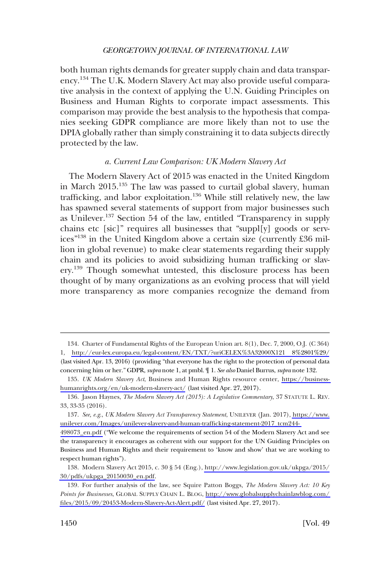<span id="page-25-0"></span>both human rights demands for greater supply chain and data transparency.134 The U.K. Modern Slavery Act may also provide useful comparative analysis in the context of applying the U.N. Guiding Principles on Business and Human Rights to corporate impact assessments. This comparison may provide the best analysis to the hypothesis that companies seeking GDPR compliance are more likely than not to use the DPIA globally rather than simply constraining it to data subjects directly protected by the law.

### *a. Current Law Comparison: UK Modern Slavery Act*

The Modern Slavery Act of 2015 was enacted in the United Kingdom in March 2015.<sup>135</sup> The law was passed to curtail global slavery, human trafficking, and labor exploitation.<sup>136</sup> While still relatively new, the law has spawned several statements of support from major businesses such as Unilever.<sup>137</sup> Section 54 of the law, entitled "Transparency in supply chains etc [sic]" requires all businesses that "suppl[y] goods or services"138 in the United Kingdom above a certain size (currently £36 million in global revenue) to make clear statements regarding their supply chain and its policies to avoid subsidizing human trafficking or slavery.<sup>139</sup> Though somewhat untested, this disclosure process has been thought of by many organizations as an evolving process that will yield more transparency as more companies recognize the demand from

<sup>134.</sup> Charter of Fundamental Rights of the European Union art. 8(1), Dec. 7, 2000, O.J. (C 364) 1, [http://eur-lex.europa.eu/legal-content/EN/TXT/?uriCELEX%3A32000X121 8%2801%29/](http://eur-lex.europa.eu/legal-content/EN/TXT/?uriCELEX%3A32000X1218%2801%29/) (last visited Apr. 13, 2016) (providing "that everyone has the right to the protection of personal data concerning him or her." GDPR, *supra* note 1, at pmbl. ¶ 1. *See also* Daniel Burrus, *supra* note 132.

*UK Modern Slavery Act*, Business and Human Rights resource center, [https://business-](https://business-humanrights.org/en/uk-modern-slavery-act/)135. [humanrights.org/en/uk-modern-slavery-act/](https://business-humanrights.org/en/uk-modern-slavery-act/) (last visited Apr. 27, 2017).

<sup>136.</sup> Jason Haynes, *The Modern Slavery Act (2015): A Legislative Commentary*, 37 STATUTE L. REV. 33, 33-35 (2016).

*See, e.g*., *UK Modern Slavery Act Transparency Statement*, UNILEVER (Jan. 2017), [https://www.](https://www.unilever.com/Images/unilever-slavery-and-human-trafficking-statement-2017_tcm244-498073_en.pdf) 137. [unilever.com/Images/unilever-slavery-and-human-trafficking-statement-2017\\_tcm244-](https://www.unilever.com/Images/unilever-slavery-and-human-trafficking-statement-2017_tcm244-498073_en.pdf) 

[<sup>498073</sup>\\_en.pdf](https://www.unilever.com/Images/unilever-slavery-and-human-trafficking-statement-2017_tcm244-498073_en.pdf) ("We welcome the requirements of section 54 of the Modern Slavery Act and see the transparency it encourages as coherent with our support for the UN Guiding Principles on Business and Human Rights and their requirement to 'know and show' that we are working to respect human rights").

Modern Slavery Act 2015, c. 30 § 54 (Eng.), [http://www.legislation.gov.uk/ukpga/2015/](http://www.legislation.gov.uk/ukpga/2015/30/pdfs/ukpga_20150030_en.pdf) 138. [30/pdfs/ukpga\\_20150030\\_en.pdf.](http://www.legislation.gov.uk/ukpga/2015/30/pdfs/ukpga_20150030_en.pdf)

For further analysis of the law, see Squire Patton Boggs*, The Modern Slavery Act: 10 Key*  139. *Points for Businesses*, GLOBAL SUPPLY CHAIN L. BLOG, [http://www.globalsupplychainlawblog.com/](http://www.globalsupplychainlawblog.com/files/2015/09/20453-Modern-Slavery-Act-Alert.pdf/)  [files/2015/09/20453-Modern-Slavery-Act-Alert.pdf/](http://www.globalsupplychainlawblog.com/files/2015/09/20453-Modern-Slavery-Act-Alert.pdf/) (last visited Apr. 27, 2017).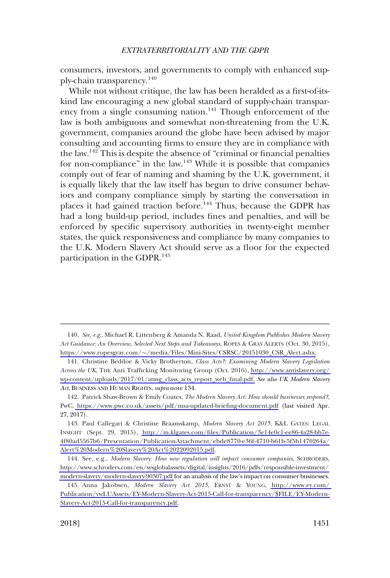consumers, investors, and governments to comply with enhanced supply-chain transparency.140

While not without critique, the law has been heralded as a first-of-itskind law encouraging a new global standard of supply-chain transparency from a single consuming nation.<sup>141</sup> Though enforcement of the law is both ambiguous and somewhat non-threatening from the U.K. government, companies around the globe have been advised by major consulting and accounting firms to ensure they are in compliance with the law.<sup>142</sup> This is despite the absence of "criminal or financial penalties" for non-compliance" in the law.<sup>143</sup> While it is possible that companies comply out of fear of naming and shaming by the U.K. government, it is equally likely that the law itself has begun to drive consumer behaviors and company compliance simply by starting the conversation in places it had gained traction before.<sup>144</sup> Thus, because the GDPR has had a long build-up period, includes fines and penalties, and will be enforced by specific supervisory authorities in twenty-eight member states, the quick responsiveness and compliance by many companies to the U.K. Modern Slavery Act should serve as a floor for the expected participation in the GDPR.<sup>145</sup>

*See, e.g*., Michael R. Littenberg & Amanda N. Raad, *United Kingdom Publishes Modern Slavery*  140. *Act Guidance: An Overview, Selected Next Steps and Takeaways*, ROPES & GRAY ALERTS (Oct. 30, 2015), https://www.ropesgray.com/�[/media/Files/Mini-Sites/CSRSC/20151030\\_CSR\\_Alert.ashx.](https://www.ropesgray.com/~/media/Files/Mini-Sites/CSRSC/20151030_CSR_Alert.ashx)

<sup>141.</sup> Christine Beddoe & Vicky Brotherton, *Class Acts?: Examining Modern Slavery Legislation Across the UK*, THE Anti Trafficking Monitoring Group (Oct. 2016), [http://www.antislavery.org/](http://www.antislavery.org/wp-content/uploads/2017/01/atmg_class_acts_report_web_final.pdf)  [wp-content/uploads/2017/01/atmg\\_class\\_acts\\_report\\_web\\_final.pdf.](http://www.antislavery.org/wp-content/uploads/2017/01/atmg_class_acts_report_web_final.pdf) *See also UK Modern Slavery Act*, BUSINESS AND HUMAN RIGHTS, *supra* note 134.

<sup>142.</sup> Patrick Shaw-Brown & Emily Coates, *The Modern Slavery Act: How should businesses respond?*, PwC,<https://www.pwc.co.uk/assets/pdf/msa-updated-briefing-document.pdf> (last visited Apr. 27, 2017).

<sup>143.</sup> Paul Callegari & Christine Braamskamp, *Modern Slavery Act 2015*, K&L GATES: LEGAL INSIGHT (Sept. 29, 2015), [http://m.klgates.com/files/Publication/3e14e0c1-ee86-4a28-bb7e-](http://m.klgates.com/files/Publication/3e14e0c1-ee86-4a28-bb7e-4f80ad5567b6/Presentation/PublicationAttachment/ebde8770-e36f-4710-b61b-5f5b1470264a/Alert%20Modern%20Slavery%20Act%2022092015.pdf)[4f80ad5567b6/Presentation/PublicationAttachment/ebde8770-e36f-4710-b61b-5f5b1470264a/](http://m.klgates.com/files/Publication/3e14e0c1-ee86-4a28-bb7e-4f80ad5567b6/Presentation/PublicationAttachment/ebde8770-e36f-4710-b61b-5f5b1470264a/Alert%20Modern%20Slavery%20Act%2022092015.pdf) [Alert%20Modern%20Slavery%20Act%2022092015.pdf](http://m.klgates.com/files/Publication/3e14e0c1-ee86-4a28-bb7e-4f80ad5567b6/Presentation/PublicationAttachment/ebde8770-e36f-4710-b61b-5f5b1470264a/Alert%20Modern%20Slavery%20Act%2022092015.pdf).

<sup>144.</sup> See, e.g., Modern Slavery: How new regulation will impact consumer companies, SCHRODERS, [http://www.schroders.com/en/sysglobalassets/digital/insights/2016/pdfs/responsible-investment/](http://www.schroders.com/en/sysglobalassets/digital/insights/2016/pdfs/responsible-investment/modern-slavery/modern-slavery-90307.pdf)  [modern-slavery/modern-slavery-90307.pdf](http://www.schroders.com/en/sysglobalassets/digital/insights/2016/pdfs/responsible-investment/modern-slavery/modern-slavery-90307.pdf) for an analysis of the law's impact on consumer businesses.

Anna Jakobsen, *Modern Slavery Act 2015*, ERNST & YOUNG, [http://www.ey.com/](http://www.ey.com/Publication/vwLUAssets/EY-Modern-Slavery-Act-2015-Call-for-transparency/$FILE/EY-Modern-Slavery-Act-2015-Call-for-transparency.pdf)  145. [Publication/vwLUAssets/EY-Modern-Slavery-Act-2015-Call-for-transparency/\\$FILE/EY-Modern-](http://www.ey.com/Publication/vwLUAssets/EY-Modern-Slavery-Act-2015-Call-for-transparency/$FILE/EY-Modern-Slavery-Act-2015-Call-for-transparency.pdf)[Slavery-Act-2015-Call-for-transparency.pdf.](http://www.ey.com/Publication/vwLUAssets/EY-Modern-Slavery-Act-2015-Call-for-transparency/$FILE/EY-Modern-Slavery-Act-2015-Call-for-transparency.pdf)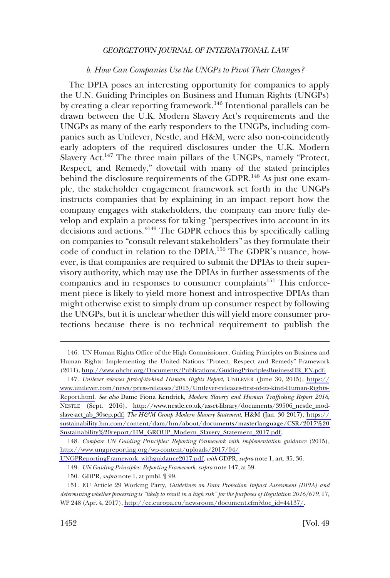### *b. How Can Companies Use the UNGPs to Pivot Their Changes?*

<span id="page-27-0"></span>The DPIA poses an interesting opportunity for companies to apply the U.N. Guiding Principles on Business and Human Rights (UNGPs) by creating a clear reporting framework.<sup>146</sup> Intentional parallels can be drawn between the U.K. Modern Slavery Act's requirements and the UNGPs as many of the early responders to the UNGPs, including companies such as Unilever, Nestle, and H&M, were also non-coincidently early adopters of the required disclosures under the U.K. Modern Slavery Act.<sup>147</sup> The three main pillars of the UNGPs, namely "Protect, Respect, and Remedy," dovetail with many of the stated principles behind the disclosure requirements of the GDPR.<sup>148</sup> As just one example, the stakeholder engagement framework set forth in the UNGPs instructs companies that by explaining in an impact report how the company engages with stakeholders, the company can more fully develop and explain a process for taking "perspectives into account in its decisions and actions."149 The GDPR echoes this by specifically calling on companies to "consult relevant stakeholders" as they formulate their code of conduct in relation to the DPIA.150 The GDPR's nuance, however, is that companies are required to submit the DPIAs to their supervisory authority, which may use the DPIAs in further assessments of the companies and in responses to consumer complaints<sup>151</sup> This enforcement piece is likely to yield more honest and introspective DPIAs than might otherwise exist to simply drum up consumer respect by following the UNGPs, but it is unclear whether this will yield more consumer protections because there is no technical requirement to publish the

<sup>146.</sup> UN Human Rights Office of the High Commissioner, Guiding Principles on Business and Human Rights: Implementing the United Nations "Protect, Respect and Remedy" Framework (2011), [http://www.ohchr.org/Documents/Publications/GuidingPrinciplesBusinessHR\\_EN.pdf.](http://www.ohchr.org/Documents/Publications/GuidingPrinciplesBusinessHR_EN.pdf)

*Unilever releases first-of-its-kind Human Rights Report*, UNILEVER (June 30, 2015), [https://](https://www.unilever.com/news/press-releases/2015/Unilever-releases-first-of-its-kind-Human-Rights-Report.html) 147. [www.unilever.com/news/press-releases/2015/Unilever-releases-first-of-its-kind-Human-Rights-](https://www.unilever.com/news/press-releases/2015/Unilever-releases-first-of-its-kind-Human-Rights-Report.html)[Report.html.](https://www.unilever.com/news/press-releases/2015/Unilever-releases-first-of-its-kind-Human-Rights-Report.html) *See also* Dame Fiona Kendrick, *Modern Slavery and Human Trafficking Report 2016*, NESTLE (Sept. 2016), [http://www.nestle.co.uk/asset-library/documents/39506\\_nestle\\_mod](http://www.nestle.co.uk/asset-library/documents/39506_nestle_mod-slave-act_ab_30sep.pdf)[slave-act\\_ab\\_30sep.pdf;](http://www.nestle.co.uk/asset-library/documents/39506_nestle_mod-slave-act_ab_30sep.pdf) *The H&M Group Modern Slavery Statement*, H&M (Jan. 30 2017), [https://](https://sustainability.hm.com/content/dam/hm/about/documents/masterlanguage/CSR/2017%20Sustainability%20report/HM_GROUP_Modern_Slavery_Statement_2017.pdf)  [sustainability.hm.com/content/dam/hm/about/documents/masterlanguage/CSR/2017%20](https://sustainability.hm.com/content/dam/hm/about/documents/masterlanguage/CSR/2017%20Sustainability%20report/HM_GROUP_Modern_Slavery_Statement_2017.pdf)  [Sustainability%20report/HM\\_GROUP\\_Modern\\_Slavery\\_Statement\\_2017.pdf.](https://sustainability.hm.com/content/dam/hm/about/documents/masterlanguage/CSR/2017%20Sustainability%20report/HM_GROUP_Modern_Slavery_Statement_2017.pdf)

<sup>148.</sup> Compare UN Guiding Principles: Reporting Framework with implementation guidance (2015), [http://www.ungpreporting.org/wp-content/uploads/2017/04/](http://www.ungpreporting.org/wp-content/uploads/2017/04/UNGPReportingFramework_withguidance2017.pdf) 

[UNGPReportingFramework\\_withguidance2017.pdf,](http://www.ungpreporting.org/wp-content/uploads/2017/04/UNGPReportingFramework_withguidance2017.pdf) *with* GDPR, *supra* note 1, art. 35, 36.

<sup>149.</sup> *UN Guiding Principles: Reporting Framework*, *supra* note 147, at 59.

<sup>150.</sup> GDPR, *supra* note 1, at pmbl. ¶ 99.

EU Article 29 Working Party, *Guidelines on Data Protection Impact Assessment (DPIA) and*  151. *determining whether processing is "likely to result in a high risk" for the purposes of Regulation 2016/679*, 17, WP 248 (Apr. 4, 2017), [http://ec.europa.eu/newsroom/document.cfm?doc\\_id=44137/.](http://ec.europa.eu/newsroom/document.cfm?doc_id=44137/)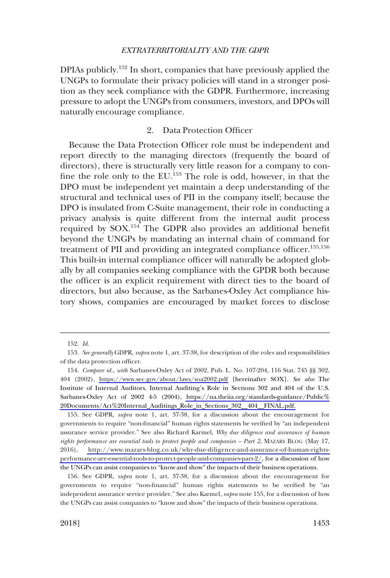<span id="page-28-0"></span>DPIAs publicly.152 In short, companies that have previously applied the UNGPs to formulate their privacy policies will stand in a stronger position as they seek compliance with the GDPR. Furthermore, increasing pressure to adopt the UNGPs from consumers, investors, and DPOs will naturally encourage compliance.

### 2. Data Protection Officer

Because the Data Protection Officer role must be independent and report directly to the managing directors (frequently the board of directors), there is structurally very little reason for a company to confine the role only to the EU.153 The role is odd, however, in that the DPO must be independent yet maintain a deep understanding of the structural and technical uses of PII in the company itself; because the DPO is insulated from C-Suite management, their role in conducting a privacy analysis is quite different from the internal audit process required by SOX.<sup>154</sup> The GDPR also provides an additional benefit beyond the UNGPs by mandating an internal chain of command for treatment of PII and providing an integrated compliance officer.<sup>155,156</sup> This built-in internal compliance officer will naturally be adopted globally by all companies seeking compliance with the GPDR both because the officer is an explicit requirement with direct ties to the board of directors, but also because, as the Sarbanes-Oxley Act compliance history shows, companies are encouraged by market forces to disclose

<sup>152.</sup> *Id*.

<sup>153.</sup> *See generally* GDPR, *supra* note 1, art. 37-38, for description of the roles and responsibilities of the data protection officer.

<sup>154.</sup> Compare id., with Sarbanes-Oxley Act of 2002, Pub. L. No. 107-204, 116 Stat. 745 §§ 302, 404 (2002), <https://www.sec.gov/about/laws/soa2002.pdf>[hereinafter SOX]. *See also* The Institute of Internal Auditors, Internal Auditing's Role in Sections 302 and 404 of the U.S. Sarbanes-Oxley Act of 2002 4-5 (2004), https://na.theiia.org/standards-guidance/Public% [20Documents/Act%20Internal\\_Auditings\\_Role\\_in\\_Sections\\_302\\_\\_404\\_\\_FINAL.pdf.](https://na.theiia.org/standards-guidance/Public%20Documents/Act%20Internal_Auditings_Role_in_Sections_302__404__FINAL.pdf)

<sup>155.</sup> See GDPR, *supra* note 1, art. 37-38, for a discussion about the encouragement for governments to require "non-financial" human rights statements be verified by "an independent assurance service provider." See also Richard Karmel, *Why due diligence and assurance of human rights performance are essential tools to protect people and companies – Part 2*, MAZARS BLOG (May 17, 2016), [http://www.mazars-blog.co.uk/why-due-diligence-and-assurance-of-human-rights](http://www.mazars-blog.co.uk/why-due-diligence-and-assurance-of-human-rights-performance-are-essential-tools-to-protect-people-and-companies-part-2/)[performance-are-essential-tools-to-protect-people-and-companies-part-2/](http://www.mazars-blog.co.uk/why-due-diligence-and-assurance-of-human-rights-performance-are-essential-tools-to-protect-people-and-companies-part-2/), for a discussion of how the UNGPs can assist companies to "know and show" the impacts of their business operations.

<sup>156.</sup> See GDPR, *supra* note 1, art. 37-38, for a discussion about the encouragement for governments to require "non-financial" human rights statements to be verified by "an independent assurance service provider." See also Karmel, *supra* note 155, for a discussion of how the UNGPs can assist companies to "know and show" the impacts of their business operations.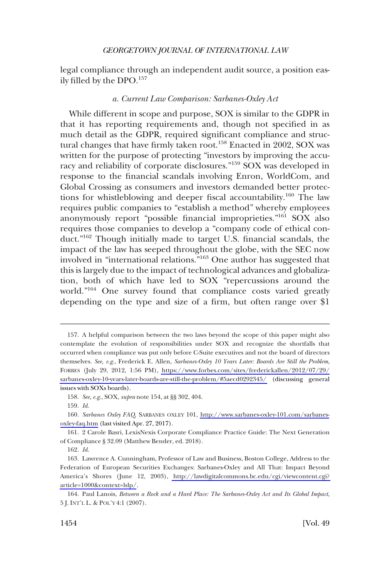<span id="page-29-0"></span>legal compliance through an independent audit source, a position easily filled by the DPO.157

### *a. Current Law Comparison: Sarbanes-Oxley Act*

While different in scope and purpose, SOX is similar to the GDPR in that it has reporting requirements and, though not specified in as much detail as the GDPR, required significant compliance and structural changes that have firmly taken root.<sup>158</sup> Enacted in 2002, SOX was written for the purpose of protecting "investors by improving the accuracy and reliability of corporate disclosures."159 SOX was developed in response to the financial scandals involving Enron, WorldCom, and Global Crossing as consumers and investors demanded better protections for whistleblowing and deeper fiscal accountability.<sup>160</sup> The law requires public companies to "establish a method" whereby employees anonymously report "possible financial improprieties."161 SOX also requires those companies to develop a "company code of ethical conduct."162 Though initially made to target U.S. financial scandals, the impact of the law has seeped throughout the globe, with the SEC now involved in "international relations."163 One author has suggested that this is largely due to the impact of technological advances and globalization, both of which have led to SOX "repercussions around the world."164 One survey found that compliance costs varied greatly depending on the type and size of a firm, but often range over \$1

A helpful comparison between the two laws beyond the scope of this paper might also 157. contemplate the evolution of responsibilities under SOX and recognize the shortfalls that occurred when compliance was put only before C-Suite executives and not the board of directors themselves. *See, e.g*., Frederick E. Allen, *Sarbanes-Oxley 10 Years Later: Boards Are Still the Problem*, FORBES (July 29, 2012, 1:56 PM), [https://www.forbes.com/sites/frederickallen/2012/07/29/](https://www.forbes.com/sites/frederickallen/2012/07/29/sarbanes-oxley-10-years-later-boards-are-still-the-problem/#5aecd0292345/) [sarbanes-oxley-10-years-later-boards-are-still-the-problem/#5aecd0292345/](https://www.forbes.com/sites/frederickallen/2012/07/29/sarbanes-oxley-10-years-later-boards-are-still-the-problem/#5aecd0292345/) (discussing general issues with SOXs boards).

<sup>158.</sup> *See, e.g*., SOX, *supra* note 154, at §§ 302, 404.

<sup>159.</sup> *Id*.

*Sarbanes Oxley FAQ*, SARBANES OXLEY 101, [http://www.sarbanes-oxley-101.com/sarbanes-](http://www.sarbanes-oxley-101.com/sarbanes-oxley-faq.htm)160. [oxley-faq.htm](http://www.sarbanes-oxley-101.com/sarbanes-oxley-faq.htm) (last visited Apr. 27, 2017).

<sup>161. 2</sup> Carole Basri, LexisNexis Corporate Compliance Practice Guide: The Next Generation of Compliance § 32.09 (Matthew Bender, ed. 2018).

<sup>162.</sup> *Id*.

<sup>163.</sup> Lawrence A. Cunningham, Professor of Law and Business, Boston College, Address to the Federation of European Securities Exchanges: Sarbanes-Oxley and All That: Impact Beyond America's Shores (June 12, 2003), [http://lawdigitalcommons.bc.edu/cgi/viewcontent.cgi?](http://lawdigitalcommons.bc.edu/cgi/viewcontent.cgi?article=1000&context=lslp/)  [article=1000&context=lslp/](http://lawdigitalcommons.bc.edu/cgi/viewcontent.cgi?article=1000&context=lslp/).

<sup>164.</sup> Paul Lanois, *Between a Rock and a Hard Place: The Sarbanes-Oxley Act and Its Global Impact*, 5 J. INT'L L. & POL'Y 4:1 (2007).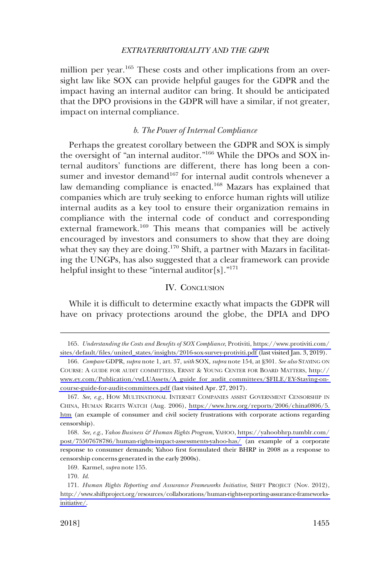<span id="page-30-0"></span>million per year.<sup>165</sup> These costs and other implications from an oversight law like SOX can provide helpful gauges for the GDPR and the impact having an internal auditor can bring. It should be anticipated that the DPO provisions in the GDPR will have a similar, if not greater, impact on internal compliance.

### *b. The Power of Internal Compliance*

Perhaps the greatest corollary between the GDPR and SOX is simply the oversight of "an internal auditor."<sup>166</sup> While the DPOs and SOX internal auditors' functions are different, there has long been a consumer and investor demand<sup>167</sup> for internal audit controls whenever a law demanding compliance is enacted.<sup>168</sup> Mazars has explained that companies which are truly seeking to enforce human rights will utilize internal audits as a key tool to ensure their organization remains in compliance with the internal code of conduct and corresponding external framework.<sup>169</sup> This means that companies will be actively encouraged by investors and consumers to show that they are doing what they say they are doing.<sup>170</sup> Shift, a partner with Mazars in facilitating the UNGPs, has also suggested that a clear framework can provide helpful insight to these "internal auditor[s]."<sup>171</sup>

### IV. CONCLUSION

While it is difficult to determine exactly what impacts the GDPR will have on privacy protections around the globe, the DPIA and DPO

*Understanding the Costs and Benefits of SOX Compliance*, Protiviti, [https://www.protiviti.com/](https://www.protiviti.com/sites/default/files/united_states/insights/2016-sox-survey-protiviti.pdf)  165. [sites/default/files/united\\_states/insights/2016-sox-survey-protiviti.pdf](https://www.protiviti.com/sites/default/files/united_states/insights/2016-sox-survey-protiviti.pdf) (last visited Jan. 3, 2019).

*Compare* GDPR, *supra* note 1, art. 37, *with* SOX, *supra* note 154, at §301. *See also* STAYING ON 166. COURSE: A GUIDE FOR AUDIT COMMITTEES, ERNST & YOUNG CENTER FOR BOARD MATTERS, [http://](http://www.ey.com/Publication/vwLUAssets/A_guide_for_audit_committees/$FILE/EY-Staying-on-course-guide-for-audit-committees.pdf) [www.ey.com/Publication/vwLUAssets/A\\_guide\\_for\\_audit\\_committees/\\$FILE/EY-Staying-on](http://www.ey.com/Publication/vwLUAssets/A_guide_for_audit_committees/$FILE/EY-Staying-on-course-guide-for-audit-committees.pdf)[course-guide-for-audit-committees.pdf](http://www.ey.com/Publication/vwLUAssets/A_guide_for_audit_committees/$FILE/EY-Staying-on-course-guide-for-audit-committees.pdf) (last visited Apr. 27, 2017).

<sup>167.</sup> See, e.g., HOW MULTINATIONAL INTERNET COMPANIES ASSIST GOVERNMENT CENSORSHIP IN CHINA, HUMAN RIGHTS WATCH (Aug. 2006), [https://www.hrw.org/reports/2006/china0806/5.](https://www.hrw.org/reports/2006/china0806/5.htm)  [htm](https://www.hrw.org/reports/2006/china0806/5.htm) (an example of consumer and civil society frustrations with corporate actions regarding censorship).

<sup>168.</sup> See, e.g., *Yahoo Business & Human Rights Program*, YAHOO, [https://yahoobhrp.tumblr.com/](https://yahoobhrp.tumblr.com/post/75507678786/human-rights-impact-assessments-yahoo-has/) [post/75507678786/human-rights-impact-assessments-yahoo-has/](https://yahoobhrp.tumblr.com/post/75507678786/human-rights-impact-assessments-yahoo-has/) (an example of a corporate response to consumer demands; Yahoo first formulated their BHRP in 2008 as a response to censorship concerns generated in the early 2000s).

<sup>169.</sup> Karmel, *supra* note 155.

<sup>170.</sup> *Id*.

<sup>171.</sup> Human Rights Reporting and Assurance Frameworks Initiative, SHIFT PROJECT (Nov. 2012), [http://www.shiftproject.org/resources/collaborations/human-rights-reporting-assurance-frameworks](http://www.shiftproject.org/resources/collaborations/human-rights-reporting-assurance-frameworks-initiative/)[initiative/.](http://www.shiftproject.org/resources/collaborations/human-rights-reporting-assurance-frameworks-initiative/)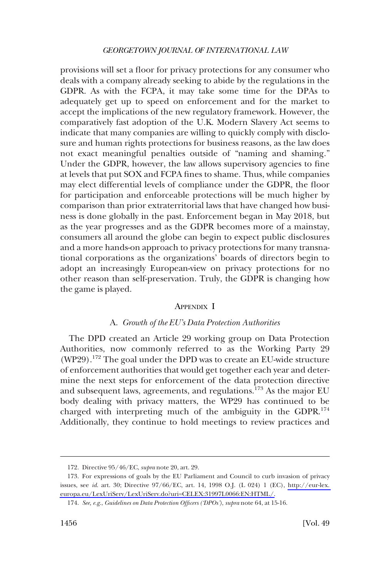<span id="page-31-0"></span>provisions will set a floor for privacy protections for any consumer who deals with a company already seeking to abide by the regulations in the GDPR. As with the FCPA, it may take some time for the DPAs to adequately get up to speed on enforcement and for the market to accept the implications of the new regulatory framework. However, the comparatively fast adoption of the U.K. Modern Slavery Act seems to indicate that many companies are willing to quickly comply with disclosure and human rights protections for business reasons, as the law does not exact meaningful penalties outside of "naming and shaming." Under the GDPR, however, the law allows supervisory agencies to fine at levels that put SOX and FCPA fines to shame. Thus, while companies may elect differential levels of compliance under the GDPR, the floor for participation and enforceable protections will be much higher by comparison than prior extraterritorial laws that have changed how business is done globally in the past. Enforcement began in May 2018, but as the year progresses and as the GDPR becomes more of a mainstay, consumers all around the globe can begin to expect public disclosures and a more hands-on approach to privacy protections for many transnational corporations as the organizations' boards of directors begin to adopt an increasingly European-view on privacy protections for no other reason than self-preservation. Truly, the GDPR is changing how the game is played.

#### APPENDIX I

### A. *Growth of the EU's Data Protection Authorities*

The DPD created an Article 29 working group on Data Protection Authorities, now commonly referred to as the Working Party 29 (WP29).172 The goal under the DPD was to create an EU-wide structure of enforcement authorities that would get together each year and determine the next steps for enforcement of the data protection directive and subsequent laws, agreements, and regulations.<sup>173</sup> As the major EU body dealing with privacy matters, the WP29 has continued to be charged with interpreting much of the ambiguity in the GDPR.<sup>174</sup> Additionally, they continue to hold meetings to review practices and

<sup>172.</sup> Directive 95/46/EC, *supra* note 20, art. 29.

<sup>173.</sup> For expressions of goals by the EU Parliament and Council to curb invasion of privacy issues, see *id*. art. 30; Directive 97/66/EC, art. 14, 1998 O.J. (L 024) 1 (EC), [http://eur-lex.](http://eur-lex.europa.eu/LexUriServ/LexUriServ.do?uri=CELEX:31997L0066:EN:HTML)  [europa.eu/LexUriServ/LexUriServ.do?uri=CELEX:31997L0066:EN:HTML/.](http://eur-lex.europa.eu/LexUriServ/LexUriServ.do?uri=CELEX:31997L0066:EN:HTML)

<sup>174.</sup> *See, e.g*., *Guidelines on Data Protection Officers ('DPOs')*, *supra* note 64, at 15-16.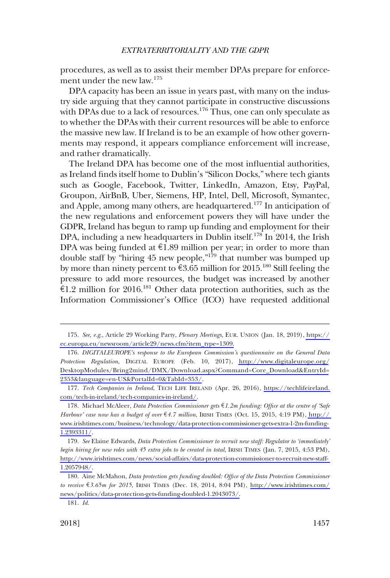procedures, as well as to assist their member DPAs prepare for enforcement under the new law.175

DPA capacity has been an issue in years past, with many on the industry side arguing that they cannot participate in constructive discussions with DPAs due to a lack of resources.<sup>176</sup> Thus, one can only speculate as to whether the DPAs with their current resources will be able to enforce the massive new law. If Ireland is to be an example of how other governments may respond, it appears compliance enforcement will increase, and rather dramatically.

The Ireland DPA has become one of the most influential authorities, as Ireland finds itself home to Dublin's "Silicon Docks," where tech giants such as Google, Facebook, Twitter, LinkedIn, Amazon, Etsy, PayPal, Groupon, AirBnB, Uber, Siemens, HP, Intel, Dell, Microsoft, Symantec, and Apple, among many others, are headquartered.<sup>177</sup> In anticipation of the new regulations and enforcement powers they will have under the GDPR, Ireland has begun to ramp up funding and employment for their DPA, including a new headquarters in Dublin itself.<sup>178</sup> In 2014, the Irish DPA was being funded at  $E1.89$  million per year; in order to more than double staff by "hiring 45 new people,"<sup>179</sup> that number was bumped up by more than ninety percent to  $\epsilon$ 3.65 million for 2015.<sup>180</sup> Still feeling the pressure to add more resources, the budget was increased by another  $\epsilon$ 1.2 million for 2016.<sup>181</sup> Other data protection authorities, such as the Information Commissioner's Office (ICO) have requested additional

*See, e.g*., Article 29 Working Party, *Plenary Meetings*, EUR. UNION (Jan. 18, 2019), [https://](https://ec.europa.eu/newsroom/article29/news.cfm?item_type=1309) 175. [ec.europa.eu/newsroom/article29/news.cfm?item\\_type=1309.](https://ec.europa.eu/newsroom/article29/news.cfm?item_type=1309)

*DIGITALEUROPE's response to the European Commission's questionnaire on the General Data*  176. *Protection Regulation*, DIGITAL EUROPE (Feb. 10, 2017), [http://www.digitaleurope.org/](http://www.digitaleurope.org/DesktopModules/Bring2mind/DMX/Download.aspx?Command=Core_Download&EntryId=2353&language=en-US&PortalId=0&TabId=353/) [DesktopModules/Bring2mind/DMX/Download.aspx?Command=Core\\_Download&EntryId=](http://www.digitaleurope.org/DesktopModules/Bring2mind/DMX/Download.aspx?Command=Core_Download&EntryId=2353&language=en-US&PortalId=0&TabId=353/) [2353&language=en-US&PortalId=0&TabId=353/](http://www.digitaleurope.org/DesktopModules/Bring2mind/DMX/Download.aspx?Command=Core_Download&EntryId=2353&language=en-US&PortalId=0&TabId=353/).

*Tech Companies in Ireland*, TECH LIFE IRELAND (Apr. 26, 2016), [https://techlifeireland.](https://techlifeireland.com/tech-in-ireland/tech-companies-in-ireland/)  177. [com/tech-in-ireland/tech-companies-in-ireland/](https://techlifeireland.com/tech-in-ireland/tech-companies-in-ireland/).

Michael McAleer, *Data Protection Commissioner gets* e*1.2m funding: Office at the centre of 'Safe*  178. *Harbour' case now has a budget of over* e*4.7 million*, IRISH TIMES (Oct. 15, 2015, 4:19 PM), [http://](http://www.irishtimes.com/business/technology/data-protection-commissioner-gets-extra-1-2m-funding-1.2393311/)  [www.irishtimes.com/business/technology/data-protection-commissioner-gets-extra-1-2m-funding-](http://www.irishtimes.com/business/technology/data-protection-commissioner-gets-extra-1-2m-funding-1.2393311/)[1.2393311/](http://www.irishtimes.com/business/technology/data-protection-commissioner-gets-extra-1-2m-funding-1.2393311/).

*See* Elaine Edwards, *Data Protection Commissioner to recruit new staff: Regulator to 'immediately'*  179. *begin hiring for new roles with 45 extra jobs to be created in total*, IRISH TIMES (Jan. 7, 2015, 4:53 PM), [http://www.irishtimes.com/news/social-affairs/data-protection-commissioner-to-recruit-new-staff-](http://www.irishtimes.com/news/social-affairs/data-protection-commissioner-to-recruit-new-staff-1.2057948/)[1.2057948/.](http://www.irishtimes.com/news/social-affairs/data-protection-commissioner-to-recruit-new-staff-1.2057948/)

<sup>180.</sup> Aine McMahon, *Data protection gets funding doubled: Office of the Data Protection Commissioner to receive*  $\epsilon$ 3.65m for 2015, IRISH TIMES (Dec. 18, 2014, 8:04 PM), [http://www.irishtimes.com/](http://www.irishtimes.com/news/politics/data-protection-gets-funding-doubled-1.2043073/) [news/politics/data-protection-gets-funding-doubled-1.2043073/.](http://www.irishtimes.com/news/politics/data-protection-gets-funding-doubled-1.2043073/)

<sup>181.</sup> *Id*.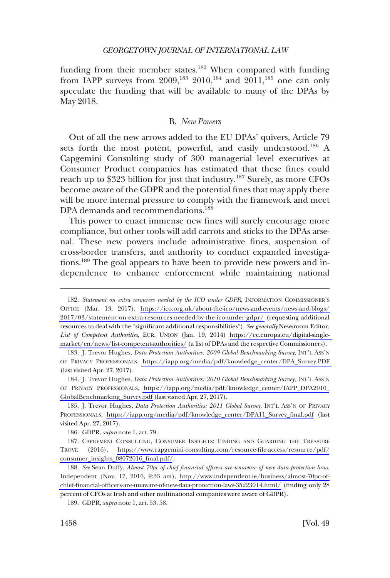<span id="page-33-0"></span>funding from their member states.<sup>182</sup> When compared with funding from IAPP surveys from  $2009$ ,<sup>183</sup>,  $2010$ ,<sup>184</sup> and  $2011$ ,<sup>185</sup> one can only speculate the funding that will be available to many of the DPAs by May 2018.

#### B. *New Powers*

Out of all the new arrows added to the EU DPAs' quivers, Article 79 sets forth the most potent, powerful, and easily understood.<sup>186</sup> A Capgemini Consulting study of 300 managerial level executives at Consumer Product companies has estimated that these fines could reach up to \$323 billion for just that industry.<sup>187</sup> Surely, as more CFOs become aware of the GDPR and the potential fines that may apply there will be more internal pressure to comply with the framework and meet DPA demands and recommendations.<sup>188</sup>

This power to enact immense new fines will surely encourage more compliance, but other tools will add carrots and sticks to the DPAs arsenal. These new powers include administrative fines, suspension of cross-border transfers, and authority to conduct expanded investigations.189 The goal appears to have been to provide new powers and independence to enhance enforcement while maintaining national

183. J. Trevor Hughes, *Data Protection Authorities: 2009 Global Benchmarking Survey*, INT'L ASS'N OF PRIVACY PROFESSIONALS, [https://iapp.org/media/pdf/knowledge\\_center/DPA\\_Survey.PDF](https://iapp.org/media/pdf/knowledge_center/DPA_Survey.PDF)  (last visited Apr. 27, 2017).

184. J. Trevor Hughes, *Data Protection Authorities: 2010 Global Benchmarking Survey*, INT'L ASS'N OF PRIVACY PROFESSIONALS, [https://iapp.org/media/pdf/knowledge\\_center/IAPP\\_DPA2010\\_](https://iapp.org/media/pdf/knowledge_center/IAPP_DPA2010_GlobalBenchmarking_Survey.pdf) [GlobalBenchmarking\\_Survey.pdf](https://iapp.org/media/pdf/knowledge_center/IAPP_DPA2010_GlobalBenchmarking_Survey.pdf) (last visited Apr. 27, 2017).

185. J. Trevor Hughes, *Data Protection Authorities: 2011 Global Survey*, INT'L ASS'N OF PRIVACY PROFESSIONALS, [https://iapp.org/media/pdf/knowledge\\_center/DPA11\\_Survey\\_final.pdf](https://iapp.org/media/pdf/knowledge_center/DPA11_Survey_final.pdf) (last visited Apr. 27, 2017).

186. GDPR, *supra* note 1, art. 79.

187. CAPGEMENI CONSULTING, CONSUMER INSIGHTS: FINDING AND GUARDING THE TREASURE TROVE (2016), [https://www.capgemini-consulting.com/resource-file-access/resource/pdf/](https://www.capgemini-consulting.com/resource-file-access/resource/pdf/consumer_insights_08072016_final.pdf/) [consumer\\_insights\\_08072016\\_final.pdf/](https://www.capgemini-consulting.com/resource-file-access/resource/pdf/consumer_insights_08072016_final.pdf/).

*See* Sean Duffy, *Almost 70pc of chief financial officers are unaware of new data protection laws*, 188. Independent (Nov. 17, 2016, 9:33 am), [http://www.independent.ie/business/almost-70pc-of](http://www.independent.ie/business/almost-70pc-of-chief-financial-officers-are-unaware-of-new-data-protection-laws-35223014.html)[chief-financial-officers-are-unaware-of-new-data-protection-laws-35223014.html/](http://www.independent.ie/business/almost-70pc-of-chief-financial-officers-are-unaware-of-new-data-protection-laws-35223014.html) (finding only 28 percent of CFOs at Irish and other multinational companies were aware of GDPR).

189. GDPR, *supra* note 1, art. 53, 58.

<sup>182.</sup> Statement on extra resources needed by the ICO under GDPR, INFORMATION COMMISSIONER'S OFFICE (Mar. 13, 2017), [https://ico.org.uk/about-the-ico/news-and-events/news-and-blogs/](https://ico.org.uk/about-the-ico/news-and-events/news-and-blogs/2017/03/statement-on-extra-resources-needed-by-the-ico-under-gdpr/)  [2017/03/statement-on-extra-resources-needed-by-the-ico-under-gdpr/](https://ico.org.uk/about-the-ico/news-and-events/news-and-blogs/2017/03/statement-on-extra-resources-needed-by-the-ico-under-gdpr/) (requesting additional resources to deal with the "significant additional responsibilities"). *See generally* Newsroom Editor, *List of Competent Authorities*, EUR. UNION (Jan. 19, 2014) [https://ec.europa.eu/digital-single](https://ec.europa.eu/digital-single-market/en/news/list-competent-authorities/)[market/en/news/list-competent-authorities/](https://ec.europa.eu/digital-single-market/en/news/list-competent-authorities/) (a list of DPAs and the respective Commissioners).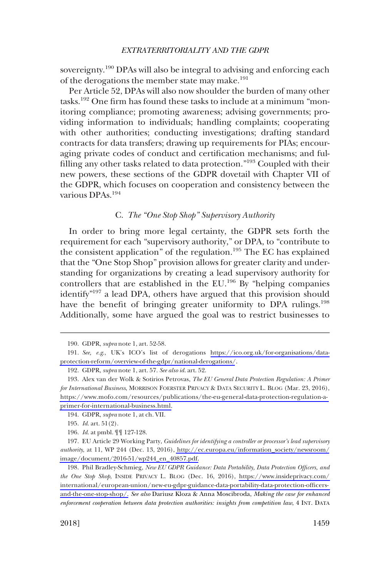<span id="page-34-0"></span>sovereignty.<sup>190</sup> DPAs will also be integral to advising and enforcing each of the derogations the member state may make.<sup>191</sup>

Per Article 52, DPAs will also now shoulder the burden of many other tasks.192 One firm has found these tasks to include at a minimum "monitoring compliance; promoting awareness; advising governments; providing information to individuals; handling complaints; cooperating with other authorities; conducting investigations; drafting standard contracts for data transfers; drawing up requirements for PIAs; encouraging private codes of conduct and certification mechanisms; and fulfilling any other tasks related to data protection."<sup>193</sup> Coupled with their new powers, these sections of the GDPR dovetail with Chapter VII of the GDPR, which focuses on cooperation and consistency between the various DPAs.194

### C. *The "One Stop Shop" Supervisory Authority*

In order to bring more legal certainty, the GDPR sets forth the requirement for each "supervisory authority," or DPA, to "contribute to the consistent application" of the regulation.195 The EC has explained that the "One Stop Shop" provision allows for greater clarity and understanding for organizations by creating a lead supervisory authority for controllers that are established in the EU.196 By "helping companies identify"<sup>197</sup> a lead DPA, others have argued that this provision should have the benefit of bringing greater uniformity to DPA rulings.<sup>198</sup> Additionally, some have argued the goal was to restrict businesses to

<sup>190.</sup> GDPR, *supra* note 1, art. 52-58.

*See, e.g*., UK's ICO's list of derogations [https://ico.org.uk/for-organisations/data-](https://ico.org.uk/for-organisations/data-protection-reform/overview-of-the-gdpr/national-derogations/)191. [protection-reform/overview-of-the-gdpr/national-derogations/](https://ico.org.uk/for-organisations/data-protection-reform/overview-of-the-gdpr/national-derogations/).

<sup>192.</sup> GDPR, *supra* note 1, art. 57. *See also id*. art. 52.

Alex van der Wolk & Sotirios Petrovas, *The EU General Data Protection Regulation: A Primer*  193. *for International Business*, MORRISON FOERSTER PRIVACY & DATA SECURITY L. BLOG (Mar. 23, 2016), [https://www.mofo.com/resources/publications/the-eu-general-data-protection-regulation-a](https://www.mofo.com/resources/publications/the-eu-general-data-protection-regulation-a-primer-for-international-business.html)[primer-for-international-business.html](https://www.mofo.com/resources/publications/the-eu-general-data-protection-regulation-a-primer-for-international-business.html).

<sup>194.</sup> GDPR, *supra* note 1, at ch. VII.

<sup>195.</sup> *Id*. art. 51(2).

<sup>196.</sup> *Id*. at pmbl. ¶¶ 127-128.

EU Article 29 Working Party, *Guidelines for identifying a controller or processor's lead supervisory*  197. *authority*, at 11, WP 244 (Dec. 13, 2016), [http://ec.europa.eu/information\\_society/newsroom/](http://ec.europa.eu/information_society/newsroom/image/document/2016-51/wp244_en_40857.pdf) [image/document/2016-51/wp244\\_en\\_40857.pdf.](http://ec.europa.eu/information_society/newsroom/image/document/2016-51/wp244_en_40857.pdf)

<sup>198.</sup> Phil Bradley-Schmieg, *New EU GDPR Guidance: Data Portability, Data Protection Officers, and the One Stop Shop*, INSIDE PRIVACY L. BLOG (Dec. 16, 2016), [https://www.insideprivacy.com/](https://www.insideprivacy.com/international/european-union/new-eu-gdpr-guidance-data-portability-data-protection-officers-and-the-one-stop-shop/)  [international/european-union/new-eu-gdpr-guidance-data-portability-data-protection-officers](https://www.insideprivacy.com/international/european-union/new-eu-gdpr-guidance-data-portability-data-protection-officers-and-the-one-stop-shop/)[and-the-one-stop-shop/.](https://www.insideprivacy.com/international/european-union/new-eu-gdpr-guidance-data-portability-data-protection-officers-and-the-one-stop-shop/) *See also* Dariusz Kloza & Anna Moscibroda, *Making the case for enhanced enforcement cooperation between data protection authorities: insights from competition law*, 4 INT. DATA